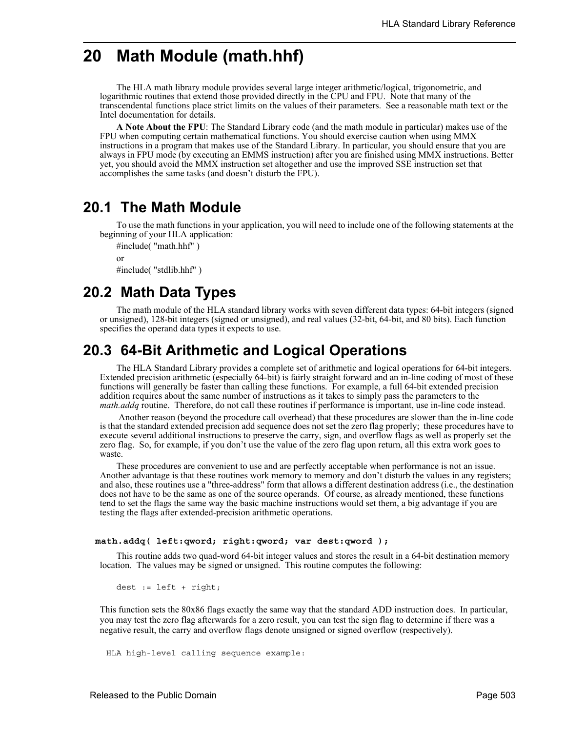# **20 Math Module (math.hhf)**

The HLA math library module provides several large integer arithmetic/logical, trigonometric, and logarithmic routines that extend those provided directly in the CPU and FPU. Note that many of the transcendental functions place strict limits on the values of their parameters. See a reasonable math text or the Intel documentation for details.

**A Note About the FPU**: The Standard Library code (and the math module in particular) makes use of the FPU when computing certain mathematical functions. You should exercise caution when using MMX instructions in a program that makes use of the Standard Library. In particular, you should ensure that you are always in FPU mode (by executing an EMMS instruction) after you are finished using MMX instructions. Better yet, you should avoid the MMX instruction set altogether and use the improved SSE instruction set that accomplishes the same tasks (and doesn't disturb the FPU).

# **20.1 The Math Module**

To use the math functions in your application, you will need to include one of the following statements at the beginning of your HLA application:

```
#include( "math.hhf" )
or
#include( "stdlib.hhf" )
```
# **20.2 Math Data Types**

The math module of the HLA standard library works with seven different data types: 64-bit integers (signed or unsigned), 128-bit integers (signed or unsigned), and real values (32-bit, 64-bit, and 80 bits). Each function specifies the operand data types it expects to use.

# **20.3 64-Bit Arithmetic and Logical Operations**

The HLA Standard Library provides a complete set of arithmetic and logical operations for 64-bit integers. Extended precision arithmetic (especially 64-bit) is fairly straight forward and an in-line coding of most of these functions will generally be faster than calling these functions. For example, a full 64-bit extended precision addition requires about the same number of instructions as it takes to simply pass the parameters to the *math.addq* routine. Therefore, do not call these routines if performance is important, use in-line code instead.

 Another reason (beyond the procedure call overhead) that these procedures are slower than the in-line code is that the standard extended precision add sequence does not set the zero flag properly; these procedures have to execute several additional instructions to preserve the carry, sign, and overflow flags as well as properly set the zero flag. So, for example, if you don't use the value of the zero flag upon return, all this extra work goes to waste.

These procedures are convenient to use and are perfectly acceptable when performance is not an issue. Another advantage is that these routines work memory to memory and don't disturb the values in any registers; and also, these routines use a "three-address" form that allows a different destination address (i.e., the destination does not have to be the same as one of the source operands. Of course, as already mentioned, these functions tend to set the flags the same way the basic machine instructions would set them, a big advantage if you are testing the flags after extended-precision arithmetic operations.

## **math.addq( left:qword; right:qword; var dest:qword );**

This routine adds two quad-word 64-bit integer values and stores the result in a 64-bit destination memory location. The values may be signed or unsigned. This routine computes the following:

 $dest := left + right;$ 

This function sets the 80x86 flags exactly the same way that the standard ADD instruction does. In particular, you may test the zero flag afterwards for a zero result, you can test the sign flag to determine if there was a negative result, the carry and overflow flags denote unsigned or signed overflow (respectively).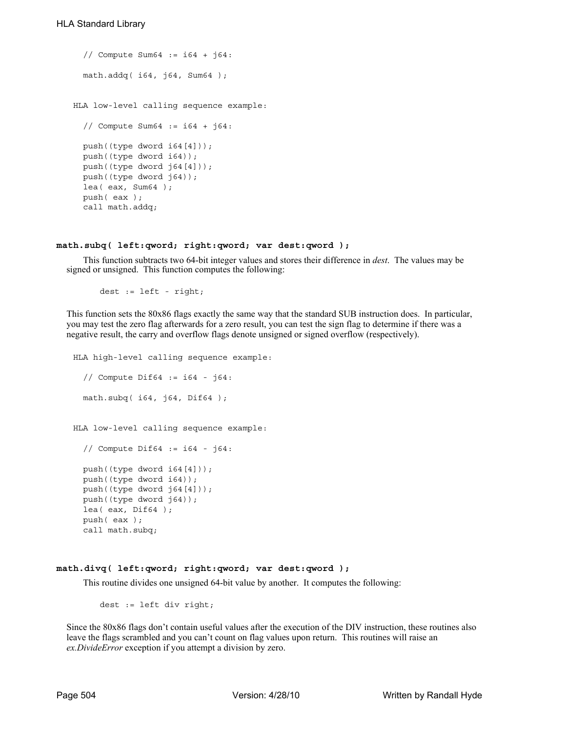```
// Compute Sum64 := i64 + j64:
  math.addq( i64, j64, Sum64 );
HLA low-level calling sequence example:
  // Compute Sum64 := i64 + j64:
  push((type dword i64[4]));
  push((type dword i64));
 push((type dword j64[4]));
 push((type dword j64));
  lea( eax, Sum64 );
 push( eax );
  call math.addq;
```
#### **math.subq( left:qword; right:qword; var dest:qword );**

This function subtracts two 64-bit integer values and stores their difference in *dest*. The values may be signed or unsigned. This function computes the following:

dest := left - right;

This function sets the 80x86 flags exactly the same way that the standard SUB instruction does. In particular, you may test the zero flag afterwards for a zero result, you can test the sign flag to determine if there was a negative result, the carry and overflow flags denote unsigned or signed overflow (respectively).

```
HLA high-level calling sequence example:
  // Compute Dif64 := i64 - j64:
  math.subq( i64, j64, Dif64 );
HLA low-level calling sequence example:
  // Compute Dif64 := i64 - j64:
  push((type dword i64[4]));
 push((type dword i64));
 push((type dword j64[4]));
 push((type dword j64));
 lea( eax, Diff64 );
 push( eax );
 call math.subq;
```
## **math.divq( left:qword; right:qword; var dest:qword );**

This routine divides one unsigned 64-bit value by another. It computes the following:

dest := left div right;

Since the 80x86 flags don't contain useful values after the execution of the DIV instruction, these routines also leave the flags scrambled and you can't count on flag values upon return. This routines will raise an *ex.DivideError* exception if you attempt a division by zero.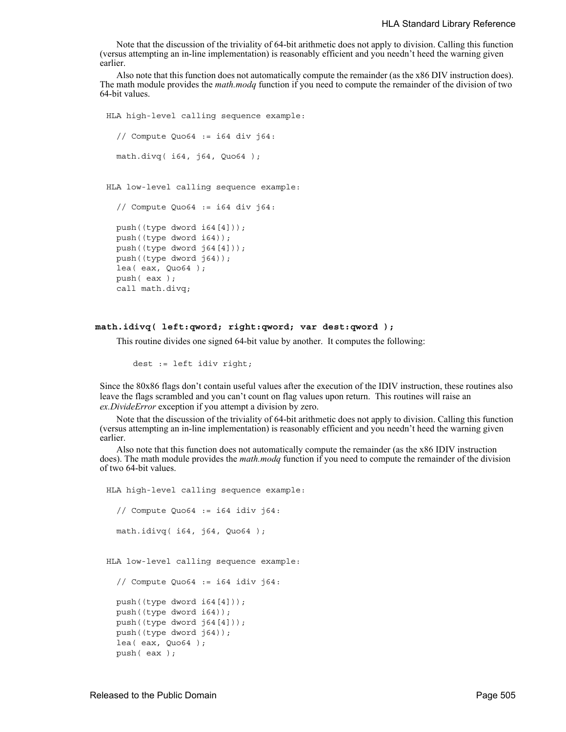Note that the discussion of the triviality of 64-bit arithmetic does not apply to division. Calling this function (versus attempting an in-line implementation) is reasonably efficient and you needn't heed the warning given earlier.

Also note that this function does not automatically compute the remainder (as the x86 DIV instruction does). The math module provides the *math.modq* function if you need to compute the remainder of the division of two 64-bit values.

```
HLA high-level calling sequence example:
  // Compute Quo64 := i64 div j64:
 math.divq( i64, j64, Quo64 );
HLA low-level calling sequence example:
 // Compute Quo64 := i64 div j64:
 push((type dword i64[4]));
 push((type dword i64));
 push((type dword j64[4]));
 push((type dword j64));
  lea( eax, Quo64 );
 push( eax );
  call math.divq;
```
## **math.idivq( left:qword; right:qword; var dest:qword );**

This routine divides one signed 64-bit value by another. It computes the following:

dest := left idiv right;

Since the 80x86 flags don't contain useful values after the execution of the IDIV instruction, these routines also leave the flags scrambled and you can't count on flag values upon return. This routines will raise an *ex.DivideError* exception if you attempt a division by zero.

Note that the discussion of the triviality of 64-bit arithmetic does not apply to division. Calling this function (versus attempting an in-line implementation) is reasonably efficient and you needn't heed the warning given earlier.

Also note that this function does not automatically compute the remainder (as the x86 IDIV instruction does). The math module provides the *math.modq* function if you need to compute the remainder of the division of two 64-bit values.

```
HLA high-level calling sequence example:
  // Compute Quo64 := i64 idiv j64:
 math.idivq( i64, j64, Quo64 );
HLA low-level calling sequence example:
  // Compute Quo64 := i64 idiv j64:
 push((type dword i64[4]));
 push((type dword i64));
 push((type dword j64[4]));
 push((type dword j64));
  lea( eax, Quo64 );
 push( eax );
```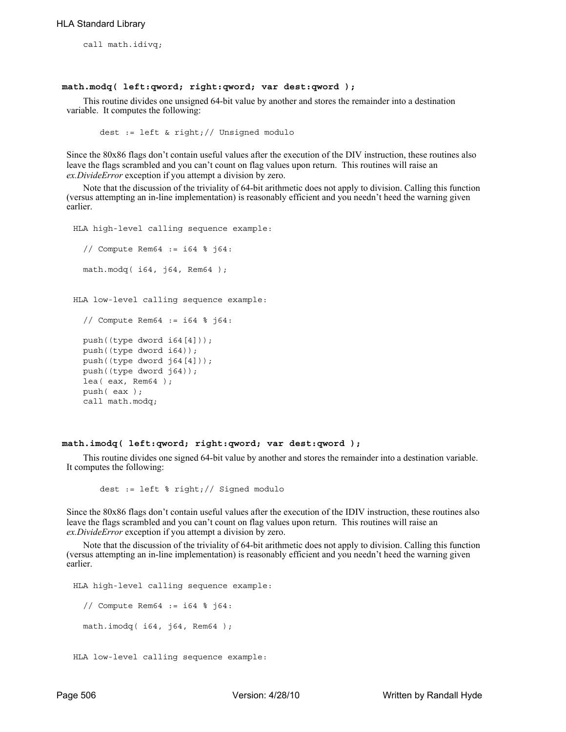call math.idivq;

#### **math.modq( left:qword; right:qword; var dest:qword );**

This routine divides one unsigned 64-bit value by another and stores the remainder into a destination variable. It computes the following:

```
dest := left & right;// Unsigned modulo
```
Since the 80x86 flags don't contain useful values after the execution of the DIV instruction, these routines also leave the flags scrambled and you can't count on flag values upon return. This routines will raise an *ex.DivideError* exception if you attempt a division by zero.

Note that the discussion of the triviality of 64-bit arithmetic does not apply to division. Calling this function (versus attempting an in-line implementation) is reasonably efficient and you needn't heed the warning given earlier.

HLA high-level calling sequence example:

```
// Compute Rem64 := i64 % j64:
  math.modq( i64, j64, Rem64 );
HLA low-level calling sequence example:
  // Compute Rem64 := i64 % j64:
  push((type dword i64[4]));
  push((type dword i64));
  push((type dword j64[4]));
  push((type dword j64));
  lea( eax, Rem64 );
  push( eax );
  call math.modq;
```
### **math.imodq( left:qword; right:qword; var dest:qword );**

This routine divides one signed 64-bit value by another and stores the remainder into a destination variable. It computes the following:

dest := left % right;// Signed modulo

Since the 80x86 flags don't contain useful values after the execution of the IDIV instruction, these routines also leave the flags scrambled and you can't count on flag values upon return. This routines will raise an *ex.DivideError* exception if you attempt a division by zero.

Note that the discussion of the triviality of 64-bit arithmetic does not apply to division. Calling this function (versus attempting an in-line implementation) is reasonably efficient and you needn't heed the warning given earlier.

```
HLA high-level calling sequence example:
  // Compute Rem64 := i64 % j64:
  math.imodq( i64, j64, Rem64 );
HLA low-level calling sequence example:
```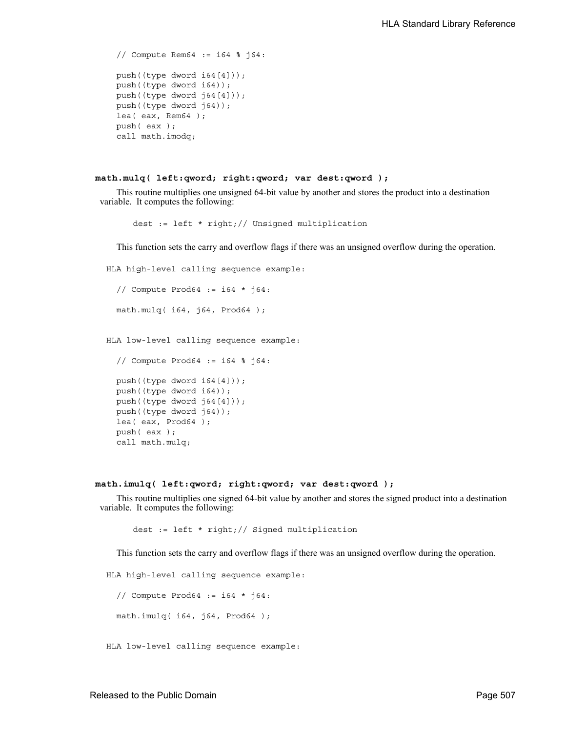```
// Compute Rem64 := i64 % j64:
push((type dword i64[4]));
push((type dword i64));
push((type dword j64[4]));
push((type dword j64));
lea( eax, Rem64 );
push( eax );
call math.imodq;
```
### **math.mulq( left:qword; right:qword; var dest:qword );**

This routine multiplies one unsigned 64-bit value by another and stores the product into a destination variable. It computes the following:

dest := left \* right;// Unsigned multiplication

This function sets the carry and overflow flags if there was an unsigned overflow during the operation.

```
HLA high-level calling sequence example:
```

```
// Compute Prod64 := i64 * j64:
math.mulq( i64, j64, Prod64 );
```
HLA low-level calling sequence example:

```
// Compute Prod64 := i64 % j64:
push((type dword i64[4]));
push((type dword i64));
push((type dword j64[4]));
push((type dword j64));
lea( eax, Prod64 );
push( eax );
call math.mulq;
```
#### **math.imulq( left:qword; right:qword; var dest:qword );**

This routine multiplies one signed 64-bit value by another and stores the signed product into a destination variable. It computes the following:

dest := left \* right;// Signed multiplication

This function sets the carry and overflow flags if there was an unsigned overflow during the operation.

HLA high-level calling sequence example:

// Compute Prod64 :=  $i64 * j64$ : math.imulq( i64, j64, Prod64 );

HLA low-level calling sequence example: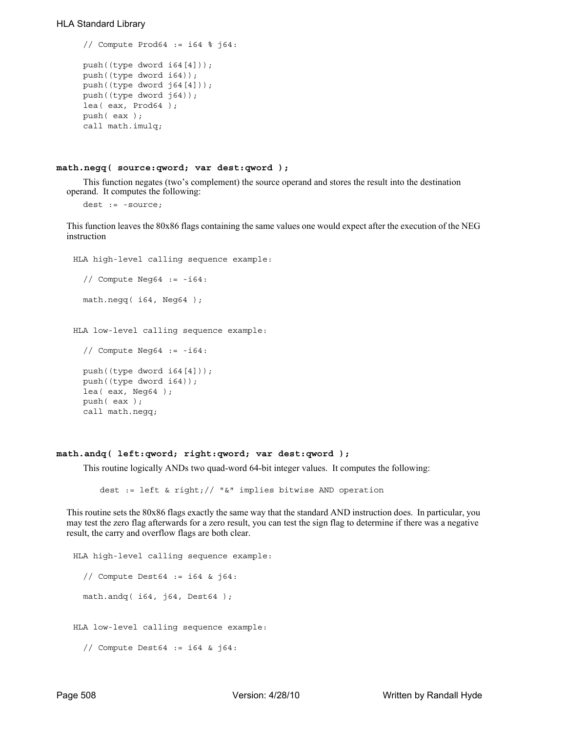```
// Compute Prod64 := i64 % j64:
push((type dword i64[4]));
push((type dword i64));
push((type dword j64[4]));
push((type dword j64));
lea( eax, Prod64 );
push( eax );
call math.imulq;
```
#### **math.negq( source:qword; var dest:qword );**

This function negates (two's complement) the source operand and stores the result into the destination operand. It computes the following:

```
dest := -source;
```
This function leaves the 80x86 flags containing the same values one would expect after the execution of the NEG instruction

```
HLA high-level calling sequence example:
```

```
math.negq( i64, Neg64 );
HLA low-level calling sequence example:
  // Compute Neg64 := -i64:
```
// Compute Neg64 := -i64:

```
push((type dword i64[4]));
push((type dword i64));
lea( eax, Neg64 );
push( eax );
call math.negq;
```
## **math.andq( left:qword; right:qword; var dest:qword );**

This routine logically ANDs two quad-word 64-bit integer values. It computes the following:

dest := left & right;// "&" implies bitwise AND operation

This routine sets the 80x86 flags exactly the same way that the standard AND instruction does. In particular, you may test the zero flag afterwards for a zero result, you can test the sign flag to determine if there was a negative result, the carry and overflow flags are both clear.

```
HLA high-level calling sequence example:
  // Compute Dest64 := i64 & j64:
  math.andq(i64, j64, Dest64);
HLA low-level calling sequence example:
  // Compute Dest64 := i64 & j64:
```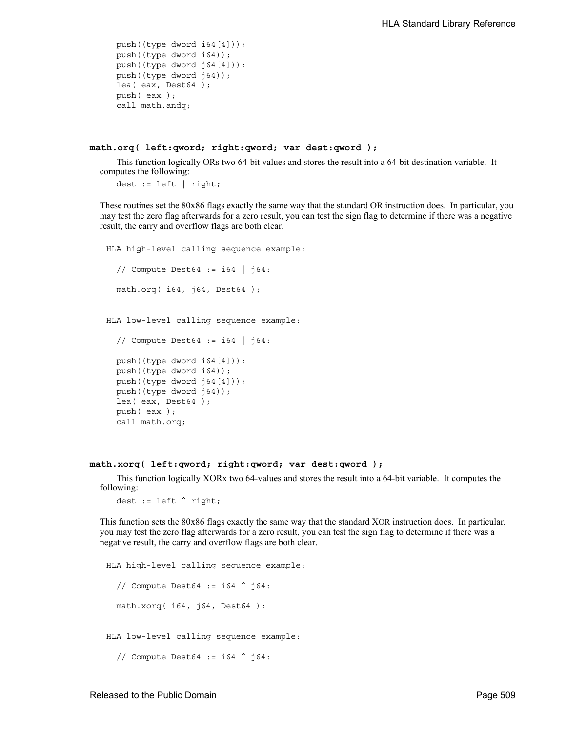```
push((type dword i64[4]));
push((type dword i64));
push((type dword j64[4]));
push((type dword j64));
lea( eax, Dest64 );
push( eax );
call math.andq;
```
#### **math.orq( left:qword; right:qword; var dest:qword );**

This function logically ORs two 64-bit values and stores the result into a 64-bit destination variable. It computes the following:

dest := left | right;

These routines set the 80x86 flags exactly the same way that the standard OR instruction does. In particular, you may test the zero flag afterwards for a zero result, you can test the sign flag to determine if there was a negative result, the carry and overflow flags are both clear.

```
HLA high-level calling sequence example:
  // Compute Dest64 := i64 | j64:
 math.orq( i64, j64, Dest64 );
```
HLA low-level calling sequence example:

```
// Compute Dest64 := i64 | j64:
push((type dword i64[4]));
push((type dword i64));
push((type dword j64[4]));
push((type dword j64));
lea( eax, Dest64 );
push( eax );
call math.orq;
```
## **math.xorq( left:qword; right:qword; var dest:qword );**

This function logically XORx two 64-values and stores the result into a 64-bit variable. It computes the following:

dest := left ^ right;

This function sets the 80x86 flags exactly the same way that the standard XOR instruction does. In particular, you may test the zero flag afterwards for a zero result, you can test the sign flag to determine if there was a negative result, the carry and overflow flags are both clear.

```
HLA high-level calling sequence example:
  // Compute Dest64 := i64 \text{ } 164:
  math.xorq( i64, j64, Dest64 );
HLA low-level calling sequence example:
  // Compute Dest64 := i64 \text{ } 164:
```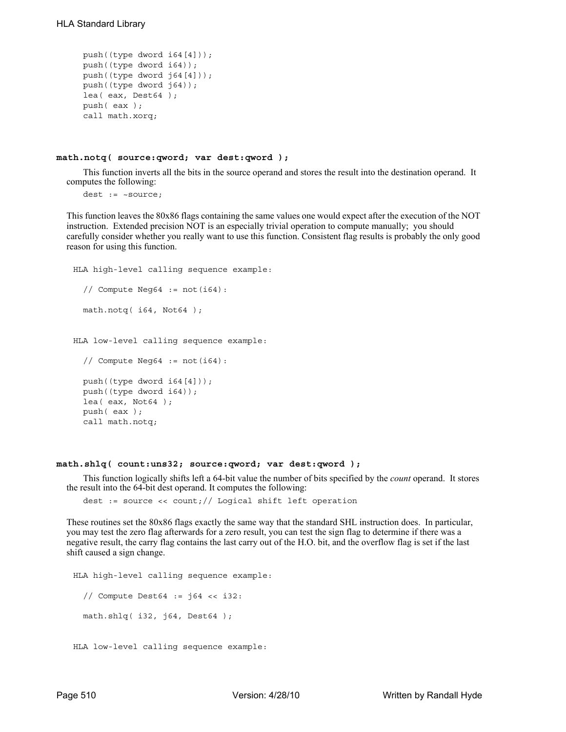```
push((type dword i64[4]));
push((type dword i64));
push((type dword j64[4]));
push((type dword j64));
lea( eax, Dest64 );
push( eax );
call math.xorq;
```
#### **math.notq( source:qword; var dest:qword );**

This function inverts all the bits in the source operand and stores the result into the destination operand. It computes the following:

dest := ~source;

This function leaves the 80x86 flags containing the same values one would expect after the execution of the NOT instruction. Extended precision NOT is an especially trivial operation to compute manually; you should carefully consider whether you really want to use this function. Consistent flag results is probably the only good reason for using this function.

```
HLA high-level calling sequence example:
  // Compute Neg64 := not(i64):
  math.notq( i64, Not64 );
HLA low-level calling sequence example:
  // Compute Neg64 := not(i64):
 push((type dword i64[4]));
 push((type dword i64));
 lea( eax, Not64 );
 push( eax );
  call math.notq;
```
### **math.shlq( count:uns32; source:qword; var dest:qword );**

This function logically shifts left a 64-bit value the number of bits specified by the *count* operand. It stores the result into the 64-bit dest operand. It computes the following:

dest := source << count;// Logical shift left operation

These routines set the 80x86 flags exactly the same way that the standard SHL instruction does. In particular, you may test the zero flag afterwards for a zero result, you can test the sign flag to determine if there was a negative result, the carry flag contains the last carry out of the H.O. bit, and the overflow flag is set if the last shift caused a sign change.

```
HLA high-level calling sequence example:
  // Compute Dest64 := \frac{1}{64} << i32:
  math.shlq( i32, j64, Dest64 );
HLA low-level calling sequence example:
```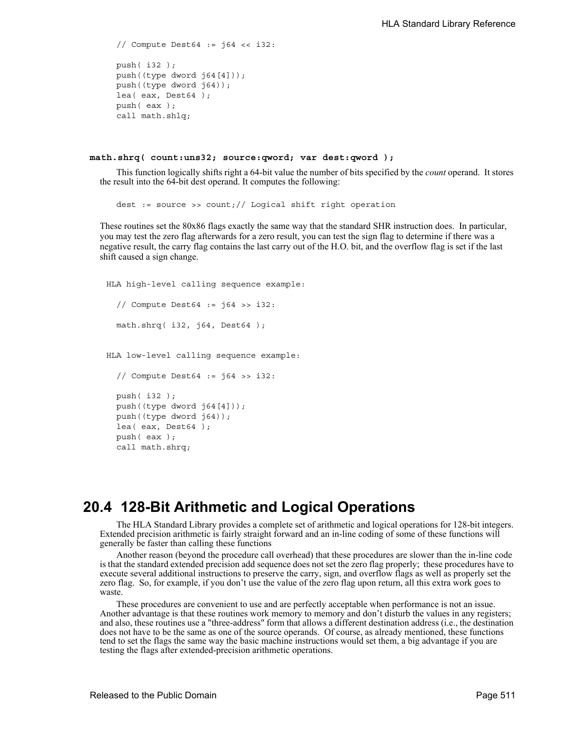```
// Compute Dest64 := \frac{1}{64} << \frac{132}{64}push( i32 );
push((type dword j64[4]));
push((type dword j64));
lea( eax, Dest64 );
push( eax );
call math.shlq;
```
#### **math.shrq( count:uns32; source:qword; var dest:qword );**

This function logically shifts right a 64-bit value the number of bits specified by the *count* operand. It stores the result into the 64-bit dest operand. It computes the following:

dest := source >> count;// Loqical shift right operation

These routines set the 80x86 flags exactly the same way that the standard SHR instruction does. In particular, you may test the zero flag afterwards for a zero result, you can test the sign flag to determine if there was a negative result, the carry flag contains the last carry out of the H.O. bit, and the overflow flag is set if the last shift caused a sign change.

```
HLA high-level calling sequence example:
  // Compute Dest64 := j64 >> i32:
  math.shrq( i32, j64, Dest64 );
HLA low-level calling sequence example:
  // Compute Dest64 := \frac{1}{64} >> \frac{132}{64}push( i32 );
  push((type dword j64[4]));
  push((type dword j64));
  lea( eax, Dest64 );
  push( eax );
  call math.shrq;
```
# **20.4 128-Bit Arithmetic and Logical Operations**

The HLA Standard Library provides a complete set of arithmetic and logical operations for 128-bit integers. Extended precision arithmetic is fairly straight forward and an in-line coding of some of these functions will generally be faster than calling these functions

Another reason (beyond the procedure call overhead) that these procedures are slower than the in-line code is that the standard extended precision add sequence does not set the zero flag properly; these procedures have to execute several additional instructions to preserve the carry, sign, and overflow flags as well as properly set the zero flag. So, for example, if you don't use the value of the zero flag upon return, all this extra work goes to waste.

These procedures are convenient to use and are perfectly acceptable when performance is not an issue. Another advantage is that these routines work memory to memory and don't disturb the values in any registers; and also, these routines use a "three-address" form that allows a different destination address (i.e., the destination does not have to be the same as one of the source operands. Of course, as already mentioned, these functions tend to set the flags the same way the basic machine instructions would set them, a big advantage if you are testing the flags after extended-precision arithmetic operations.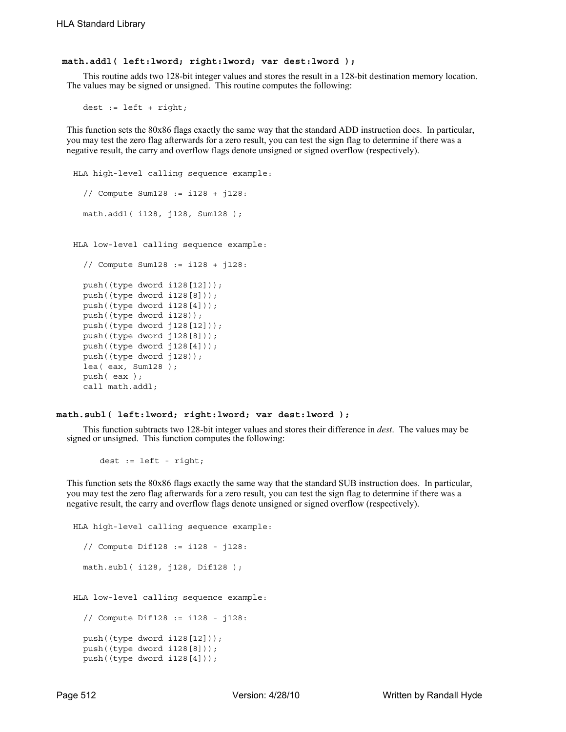#### **math.addl( left:lword; right:lword; var dest:lword );**

This routine adds two 128-bit integer values and stores the result in a 128-bit destination memory location. The values may be signed or unsigned. This routine computes the following:

dest := left + right;

This function sets the 80x86 flags exactly the same way that the standard ADD instruction does. In particular, you may test the zero flag afterwards for a zero result, you can test the sign flag to determine if there was a negative result, the carry and overflow flags denote unsigned or signed overflow (respectively).

```
HLA high-level calling sequence example:
  // Compute Sum128 := i128 + j128:
  math.addl( i128, j128, Sum128 );
HLA low-level calling sequence example:
  // Compute Sum128 := i128 + j128:
 push((type dword i128[12]));
 push((type dword i128[8]));
 push((type dword i128[4]));
 push((type dword i128));
 push((type dword j128[12]));
 push((type dword j128[8]));
 push((type dword j128[4]));
 push((type dword j128));
  lea( eax, Sum128 );
  push( eax );
  call math.addl;
```
#### **math.subl( left:lword; right:lword; var dest:lword );**

This function subtracts two 128-bit integer values and stores their difference in *dest*. The values may be signed or unsigned. This function computes the following:

dest := left - right;

This function sets the 80x86 flags exactly the same way that the standard SUB instruction does. In particular, you may test the zero flag afterwards for a zero result, you can test the sign flag to determine if there was a negative result, the carry and overflow flags denote unsigned or signed overflow (respectively).

```
HLA high-level calling sequence example:
  // Compute Dif128 := i128 - j128:
  math.subl( i128, j128, Dif128 );
HLA low-level calling sequence example:
  // Compute Dif128 := i128 - j128:
  push((type dword i128[12]));
  push((type dword i128[8]));
  push((type dword i128[4]));
```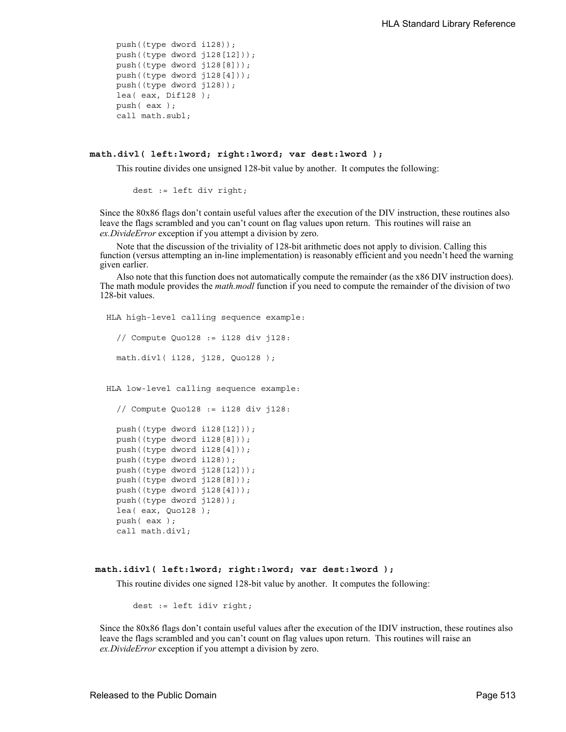```
push((type dword i128));
push((type dword j128[12]));
push((type dword j128[8]));
push((type dword j128[4]));
push((type dword j128));
lea( eax, Dif128 );
push( eax );
call math.subl;
```
### **math.divl( left:lword; right:lword; var dest:lword );**

This routine divides one unsigned 128-bit value by another. It computes the following:

dest := left div right;

Since the 80x86 flags don't contain useful values after the execution of the DIV instruction, these routines also leave the flags scrambled and you can't count on flag values upon return. This routines will raise an *ex.DivideError* exception if you attempt a division by zero.

Note that the discussion of the triviality of 128-bit arithmetic does not apply to division. Calling this function (versus attempting an in-line implementation) is reasonably efficient and you needn't heed the warning given earlier.

Also note that this function does not automatically compute the remainder (as the x86 DIV instruction does). The math module provides the *math.modl* function if you need to compute the remainder of the division of two 128-bit values.

```
HLA high-level calling sequence example:
  // Compute Quo128 := i128 div j128:
 math.divl( i128, j128, Quo128 );
HLA low-level calling sequence example:
 // Compute Quo128 := i128 div j128:
 push((type dword i128[12]));
 push((type dword i128[8]));
 push((type dword i128[4]));
 push((type dword i128));
 push((type dword j128[12]));
 push((type dword j128[8]));
 push((type dword j128[4]));
 push((type dword j128));
 lea( eax, Quo128 );
 push( eax );
 call math.divl;
```
## **math.idivl( left:lword; right:lword; var dest:lword );**

This routine divides one signed 128-bit value by another. It computes the following:

dest := left idiv right;

Since the 80x86 flags don't contain useful values after the execution of the IDIV instruction, these routines also leave the flags scrambled and you can't count on flag values upon return. This routines will raise an *ex.DivideError* exception if you attempt a division by zero.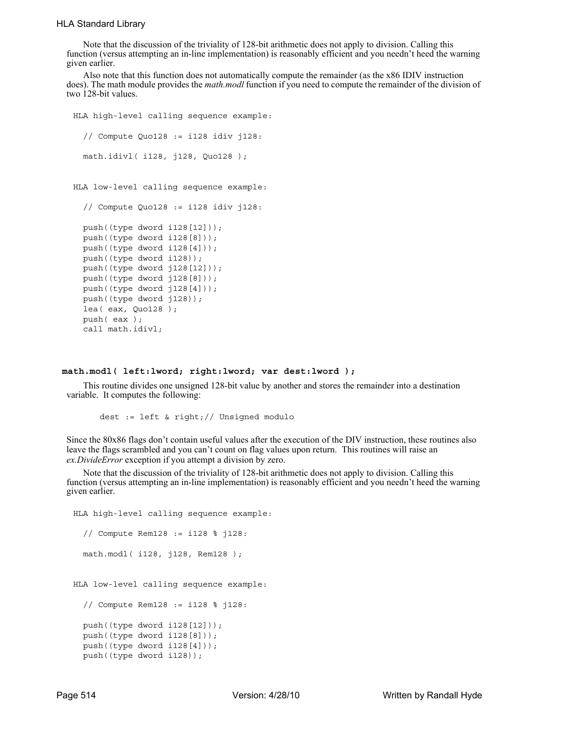Note that the discussion of the triviality of 128-bit arithmetic does not apply to division. Calling this function (versus attempting an in-line implementation) is reasonably efficient and you needn't heed the warning given earlier.

Also note that this function does not automatically compute the remainder (as the x86 IDIV instruction does). The math module provides the *math.modl* function if you need to compute the remainder of the division of two 128-bit values.

```
HLA high-level calling sequence example:
  // Compute Quo128 := i128 idiv j128:
  math.idivl( i128, j128, Quo128 );
HLA low-level calling sequence example:
  // Compute Quo128 := i128 idiv j128:
  push((type dword i128[12]));
  push((type dword i128[8]));
  push((type dword i128[4]));
  push((type dword i128));
  push((type dword j128[12]));
  push((type dword j128[8]));
  push((type dword j128[4]));
  push((type dword j128));
  lea( eax, Quo128 );
  push( eax );
  call math.idivl;
```
#### **math.modl( left:lword; right:lword; var dest:lword );**

This routine divides one unsigned 128-bit value by another and stores the remainder into a destination variable. It computes the following:

```
dest := left & right;// Unsigned modulo
```
Since the 80x86 flags don't contain useful values after the execution of the DIV instruction, these routines also leave the flags scrambled and you can't count on flag values upon return. This routines will raise an *ex.DivideError* exception if you attempt a division by zero.

Note that the discussion of the triviality of 128-bit arithmetic does not apply to division. Calling this function (versus attempting an in-line implementation) is reasonably efficient and you needn't heed the warning given earlier.

```
HLA high-level calling sequence example:
  // Compute Rem128 := i128 % j128:
  math.modl( i128, j128, Rem128 );
HLA low-level calling sequence example:
  // Compute Rem128 := i128 % j128:
  push((type dword i128[12]));
  push((type dword i128[8]));
  push((type dword i128[4]));
  push((type dword i128));
```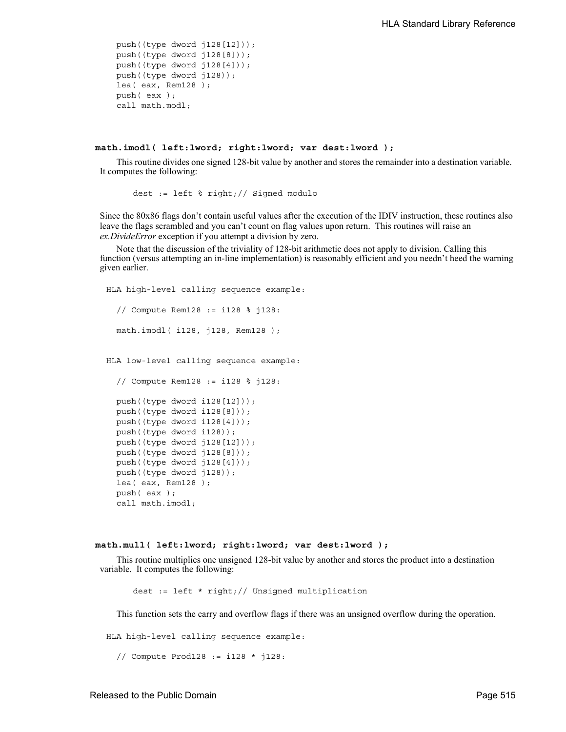```
push((type dword j128[12]));
push((type dword j128[8]));
push((type dword j128[4]));
push((type dword j128));
lea( eax, Rem128 );
push( eax );
call math.modl;
```
#### **math.imodl( left:lword; right:lword; var dest:lword );**

This routine divides one signed 128-bit value by another and stores the remainder into a destination variable. It computes the following:

dest := left % right;// Signed modulo

Since the 80x86 flags don't contain useful values after the execution of the IDIV instruction, these routines also leave the flags scrambled and you can't count on flag values upon return. This routines will raise an *ex.DivideError* exception if you attempt a division by zero.

Note that the discussion of the triviality of 128-bit arithmetic does not apply to division. Calling this function (versus attempting an in-line implementation) is reasonably efficient and you needn't heed the warning given earlier.

```
HLA high-level calling sequence example:
  // Compute Rem128 := i128 % j128:
 math.imodl( i128, j128, Rem128 );
HLA low-level calling sequence example:
  // Compute Rem128 := i128 % j128:
 push((type dword i128[12]));
 push((type dword i128[8]));
 push((type dword i128[4]));
 push((type dword i128));
 push((type dword j128[12]));
 push((type dword j128[8]));
```
push((type dword j128[4])); push((type dword j128)); lea( eax, Rem128 );

push( eax ); call math.imodl;

```
 math.mull( left:lword; right:lword; var dest:lword );
```
This routine multiplies one unsigned 128-bit value by another and stores the product into a destination variable. It computes the following:

dest := left \* right;// Unsigned multiplication

This function sets the carry and overflow flags if there was an unsigned overflow during the operation.

HLA high-level calling sequence example:

// Compute Prod128 := i128 \* j128: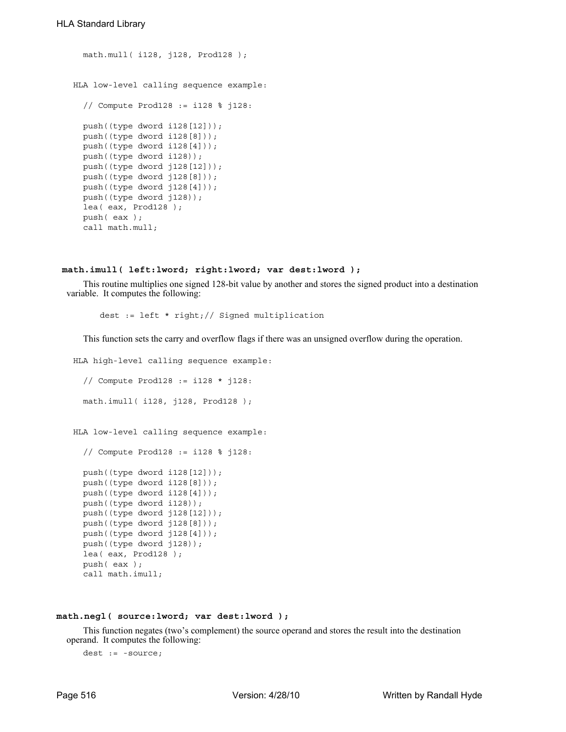```
math.mull( i128, j128, Prod128 );
HLA low-level calling sequence example:
  // Compute Prod128 := i128 % j128:
 push((type dword i128[12]));
  push((type dword i128[8]));
 push((type dword i128[4]));
 push((type dword i128));
 push((type dword j128[12]));
 push((type dword j128[8]));
 push((type dword j128[4]));
 push((type dword j128));
 lea( eax, Prod128 );
 push( eax );
 call math.mull;
```
#### **math.imull( left:lword; right:lword; var dest:lword );**

This routine multiplies one signed 128-bit value by another and stores the signed product into a destination variable. It computes the following:

dest := left \* right;// Signed multiplication

This function sets the carry and overflow flags if there was an unsigned overflow during the operation.

```
HLA high-level calling sequence example:
  // Compute Prod128 := i128 * j128:
  math.imull( i128, j128, Prod128 );
HLA low-level calling sequence example:
  // Compute Prod128 := i128 % j128:
  push((type dword i128[12]));
  push((type dword i128[8]));
  push((type dword i128[4]));
 push((type dword i128));
 push((type dword j128[12]));
  push((type dword j128[8]));
 push((type dword j128[4]));
 push((type dword j128));
 lea( eax, Prod128 );
 push( eax );
  call math.imull;
```
#### **math.negl( source:lword; var dest:lword );**

This function negates (two's complement) the source operand and stores the result into the destination operand. It computes the following:

dest := -source;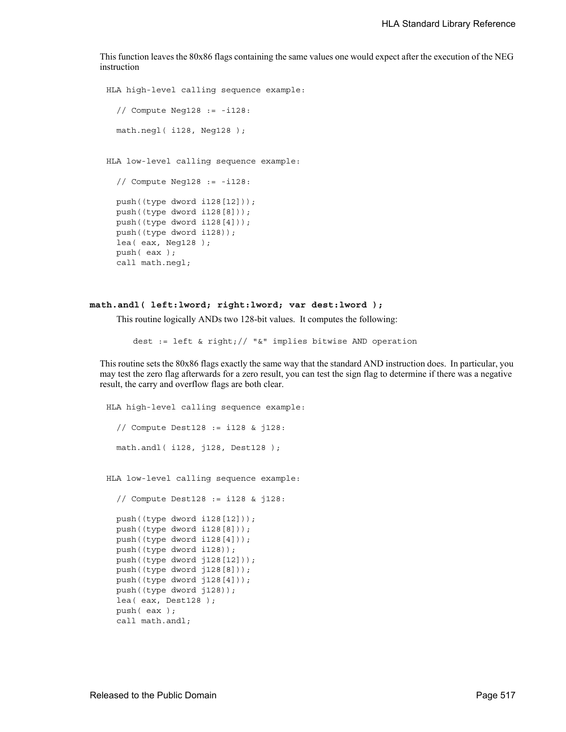This function leaves the 80x86 flags containing the same values one would expect after the execution of the NEG instruction

```
HLA high-level calling sequence example:
  // Compute Neg128 := -i128:
  math.negl( i128, Neg128 );
HLA low-level calling sequence example:
  // Compute Neg128 := -i128:
  push((type dword i128[12]));
  push((type dword i128[8]));
  push((type dword i128[4]));
  push((type dword i128));
  lea( eax, Neg128 );
  push( eax );
  call math.negl;
```
## **math.andl( left:lword; right:lword; var dest:lword );**

This routine logically ANDs two 128-bit values. It computes the following:

dest := left & right;// "&" implies bitwise AND operation

This routine sets the 80x86 flags exactly the same way that the standard AND instruction does. In particular, you may test the zero flag afterwards for a zero result, you can test the sign flag to determine if there was a negative result, the carry and overflow flags are both clear.

```
HLA high-level calling sequence example:
 // Compute Dest128 := i128 & j128:
 math.andl( i128, j128, Dest128 );
HLA low-level calling sequence example:
 // Compute Dest128 := i128 & j128:
 push((type dword i128[12]));
 push((type dword i128[8]));
 push((type dword i128[4]));
 push((type dword i128));
 push((type dword j128[12]));
 push((type dword j128[8]));
 push((type dword j128[4]));
```

```
Released to the Public Domain Page 517 Page 517
```
push( eax ); call math.andl;

push((type dword j128)); lea( eax, Dest128 );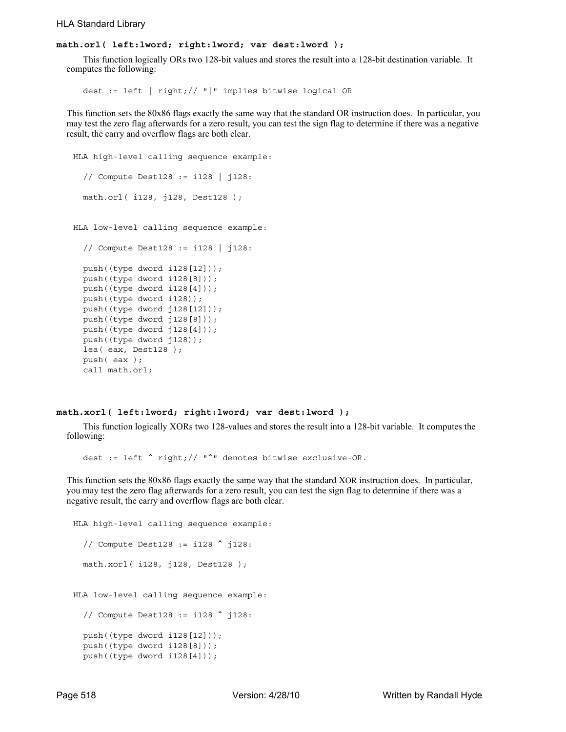## **math.orl( left:lword; right:lword; var dest:lword );**

This function logically ORs two 128-bit values and stores the result into a 128-bit destination variable. It computes the following:

dest := left | right;// "|" implies bitwise logical OR

This function sets the 80x86 flags exactly the same way that the standard OR instruction does. In particular, you may test the zero flag afterwards for a zero result, you can test the sign flag to determine if there was a negative result, the carry and overflow flags are both clear.

```
HLA high-level calling sequence example:
  // Compute Dest128 := i128 | j128:
  math.orl( i128, j128, Dest128 );
```
HLA low-level calling sequence example:

```
// Compute Dest128 := i128 | j128:
push((type dword i128[12]));
push((type dword i128[8]));
push((type dword i128[4]));
push((type dword i128));
push((type dword j128[12]));
push((type dword j128[8]));
push((type dword j128[4]));
push((type dword j128));
lea( eax, Dest128 );
push( eax );
call math.orl;
```
#### **math.xorl( left:lword; right:lword; var dest:lword );**

This function logically XORs two 128-values and stores the result into a 128-bit variable. It computes the following:

dest := left  $\hat{ }$  right;// " $\hat{ }$ " denotes bitwise exclusive-OR.

This function sets the 80x86 flags exactly the same way that the standard XOR instruction does. In particular, you may test the zero flag afterwards for a zero result, you can test the sign flag to determine if there was a negative result, the carry and overflow flags are both clear.

```
HLA high-level calling sequence example:
  // Compute Dest128 := i128 ^ j128:
  math.xorl( i128, j128, Dest128 );
HLA low-level calling sequence example:
  // Compute Dest128 := i128 ^ j128:
  push((type dword i128[12]));
  push((type dword i128[8]));
  push((type dword i128[4]));
```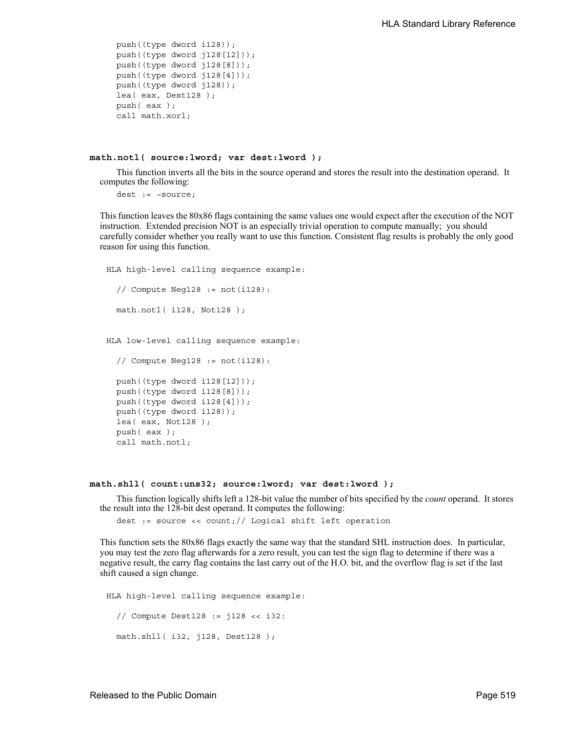```
push((type dword i128));
push((type dword j128[12]));
push((type dword j128[8]));
push((type dword j128[4]));
push((type dword j128));
lea( eax, Dest128 );
push( eax );
call math.xorl;
```
#### **math.notl( source:lword; var dest:lword );**

This function inverts all the bits in the source operand and stores the result into the destination operand. It computes the following:

dest := ~source;

This function leaves the 80x86 flags containing the same values one would expect after the execution of the NOT instruction. Extended precision NOT is an especially trivial operation to compute manually; you should carefully consider whether you really want to use this function. Consistent flag results is probably the only good reason for using this function.

```
HLA high-level calling sequence example:
  // Compute Neg128 := not(i128):
 math.notl( i128, Not128 );
HLA low-level calling sequence example:
  // Compute Neg128 := not(i128):
 push((type dword i128[12]));
 push((type dword i128[8]));
 push((type dword i128[4]));
 push((type dword i128));
 lea( eax, Not128 );
 push( eax );
 call math.notl;
```
#### **math.shll( count:uns32; source:lword; var dest:lword );**

This function logically shifts left a 128-bit value the number of bits specified by the *count* operand. It stores the result into the 128-bit dest operand. It computes the following:

dest := source << count;// Logical shift left operation

This function sets the 80x86 flags exactly the same way that the standard SHL instruction does. In particular, you may test the zero flag afterwards for a zero result, you can test the sign flag to determine if there was a negative result, the carry flag contains the last carry out of the H.O. bit, and the overflow flag is set if the last shift caused a sign change.

HLA high-level calling sequence example: // Compute Dest128 := j128 << i32: math.shll( i32, j128, Dest128 );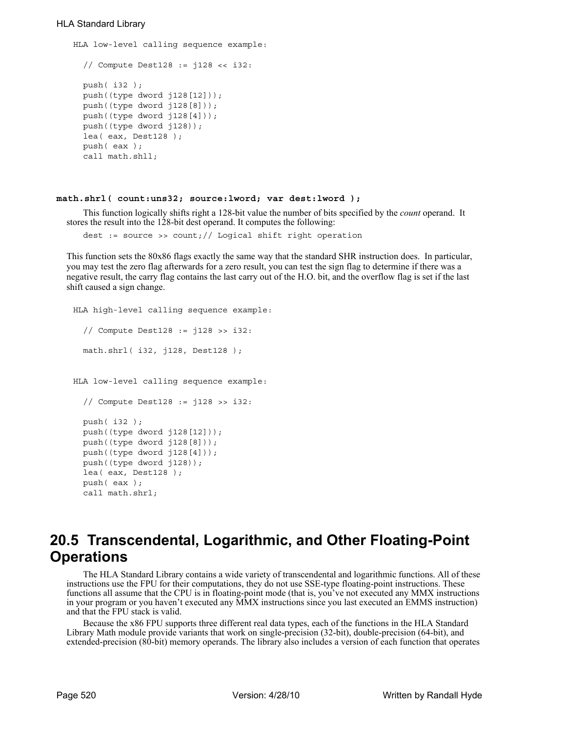```
HLA low-level calling sequence example:
  // Compute Dest128 := j128 << i32:
  push( i32 );
  push((type dword j128[12]));
  push((type dword j128[8]));
  push((type dword j128[4]));
  push((type dword j128));
  lea( eax, Dest128 );
  push( eax );
  call math.shll;
```
## **math.shrl( count:uns32; source:lword; var dest:lword );**

This function logically shifts right a 128-bit value the number of bits specified by the *count* operand. It stores the result into the 128-bit dest operand. It computes the following:

dest := source >> count;// Logical shift right operation

This function sets the 80x86 flags exactly the same way that the standard SHR instruction does. In particular, you may test the zero flag afterwards for a zero result, you can test the sign flag to determine if there was a negative result, the carry flag contains the last carry out of the H.O. bit, and the overflow flag is set if the last shift caused a sign change.

```
HLA high-level calling sequence example:
  // Compute Dest128 := j128 >> i32:
  math.shrl( i32, j128, Dest128 );
HLA low-level calling sequence example:
  // Compute Dest128 := j128 >> i32:
 push( i32 );
 push((type dword j128[12]));
 push((type dword j128[8]));
 push((type dword j128[4]));
 push((type dword j128));
  lea( eax, Dest128 );
  push( eax );
  call math.shrl;
```
# **20.5 Transcendental, Logarithmic, and Other Floating-Point Operations**

The HLA Standard Library contains a wide variety of transcendental and logarithmic functions. All of these instructions use the FPU for their computations, they do not use SSE-type floating-point instructions. These functions all assume that the CPU is in floating-point mode (that is, you've not executed any MMX instructions in your program or you haven't executed any MMX instructions since you last executed an EMMS instruction) and that the FPU stack is valid.

Because the x86 FPU supports three different real data types, each of the functions in the HLA Standard Library Math module provide variants that work on single-precision (32-bit), double-precision (64-bit), and extended-precision (80-bit) memory operands. The library also includes a version of each function that operates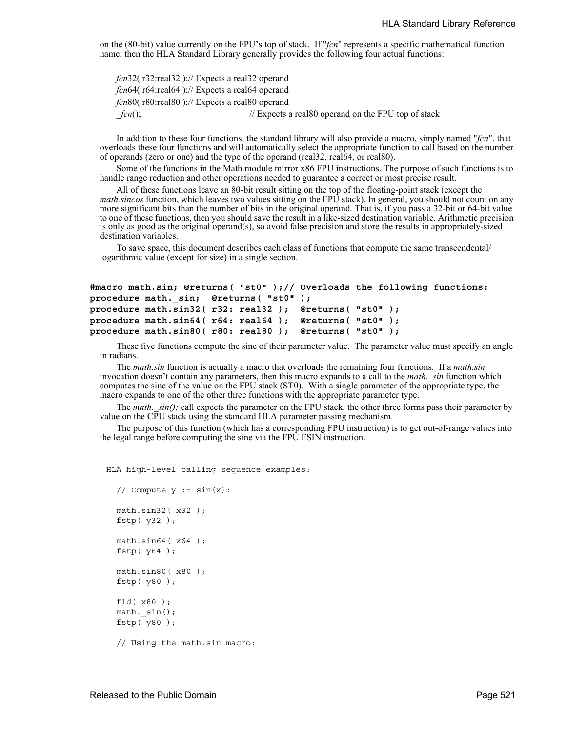on the (80-bit) value currently on the FPU's top of stack. If "*fcn*" represents a specific mathematical function name, then the HLA Standard Library generally provides the following four actual functions:

*fcn*32( r32:real32 );// Expects a real32 operand *fcn*64( r64:real64 );// Expects a real64 operand *fcn*80( r80:real80 );// Expects a real80 operand *fcn*(); // Expects a real80 operand on the FPU top of stack

In addition to these four functions, the standard library will also provide a macro, simply named "*fcn*", that overloads these four functions and will automatically select the appropriate function to call based on the number of operands (zero or one) and the type of the operand (real32, real64, or real80).

Some of the functions in the Math module mirror x86 FPU instructions. The purpose of such functions is to handle range reduction and other operations needed to guarantee a correct or most precise result.

All of these functions leave an 80-bit result sitting on the top of the floating-point stack (except the *math.sincos* function, which leaves two values sitting on the FPU stack). In general, you should not count on any more significant bits than the number of bits in the original operand. That is, if you pass a 32-bit or 64-bit value to one of these functions, then you should save the result in a like-sized destination variable. Arithmetic precision is only as good as the original operand(s), so avoid false precision and store the results in appropriately-sized destination variables.

To save space, this document describes each class of functions that compute the same transcendental/ logarithmic value (except for size) in a single section.

```
#macro math.sin; @returns( "st0" );// Overloads the following functions:
procedure math._sin; @returns( "st0" );
procedure math.sin32( r32: real32 ); @returns( "st0" );
procedure math.sin64( r64: real64 ); @returns( "st0" );
procedure math.sin80( r80: real80 ); @returns( "st0" );
```
These five functions compute the sine of their parameter value. The parameter value must specify an angle in radians.

The *math.sin* function is actually a macro that overloads the remaining four functions. If a *math.sin* invocation doesn't contain any parameters, then this macro expands to a call to the *math.* sin function which computes the sine of the value on the FPU stack (ST0). With a single parameter of the appropriate type, the macro expands to one of the other three functions with the appropriate parameter type.

The *math.*  $sin()$ ; call expects the parameter on the FPU stack, the other three forms pass their parameter by value on the CPU stack using the standard HLA parameter passing mechanism.

The purpose of this function (which has a corresponding FPU instruction) is to get out-of-range values into the legal range before computing the sine via the FPU FSIN instruction.

```
// Compute y := sin(x):
math.sin32( x32 );
fstp( y32 );
math.sin64( x64 );
fstp( y64 );
math.sin80( x80 );
fstp( y80 );
fld( x80 );
math. sin();
fstp( y80 );
// Using the math.sin macro:
```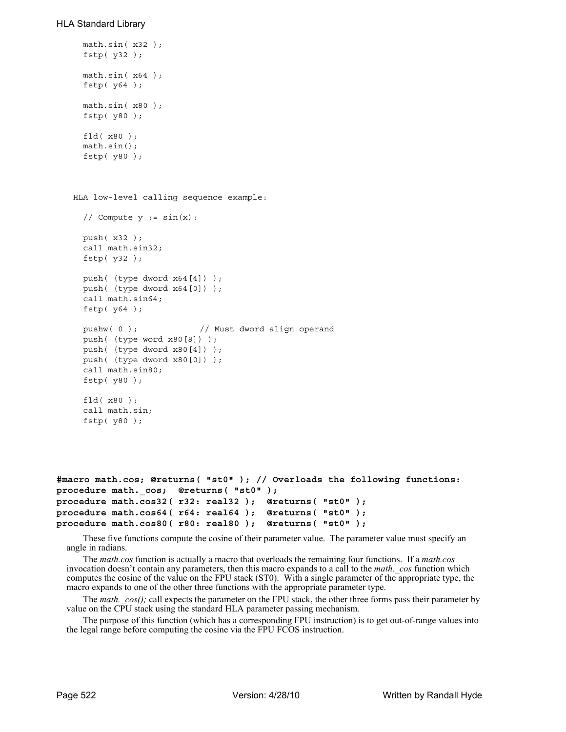```
math.sin( x32 );
  fstp( y32 );
 math.sin( x64 );
  fstp( y64 );
 math.sin( x80 );
  fstp( y80 );
  fld( x80 );
  math.sin();
  fstp( y80 );
HLA low-level calling sequence example:
  // Compute y := \sin(x):
  push( x32 );
 call math.sin32;
  fstp( y32 );
  push( (type dword x64[4]) );
 push( (type dword x64[0]) );
  call math.sin64;
  fstp( y64 );
  pushw( 0 ); // Must dword align operand
  push( (type word x80[8]) );
 push( (type dword x80[4]) );
 push( (type dword x80[0]) );
  call math.sin80;
  fstp( y80 );
  fld( x80 );
  call math.sin;
  fstp( y80 );
```

```
#macro math.cos; @returns( "st0" ); // Overloads the following functions:
procedure math._cos; @returns( "st0" );
procedure math.cos32( r32: real32 ); @returns( "st0" );
procedure math.cos64( r64: real64 ); @returns( "st0" );
procedure math.cos80( r80: real80 ); @returns( "st0" );
```
These five functions compute the cosine of their parameter value. The parameter value must specify an angle in radians.

The *math.cos* function is actually a macro that overloads the remaining four functions. If a *math.cos* invocation doesn't contain any parameters, then this macro expands to a call to the *math.\_cos* function which computes the cosine of the value on the FPU stack (ST0). With a single parameter of the appropriate type, the macro expands to one of the other three functions with the appropriate parameter type.

The *math.*  $cos()$ ; call expects the parameter on the FPU stack, the other three forms pass their parameter by value on the CPU stack using the standard HLA parameter passing mechanism.

The purpose of this function (which has a corresponding FPU instruction) is to get out-of-range values into the legal range before computing the cosine via the FPU FCOS instruction.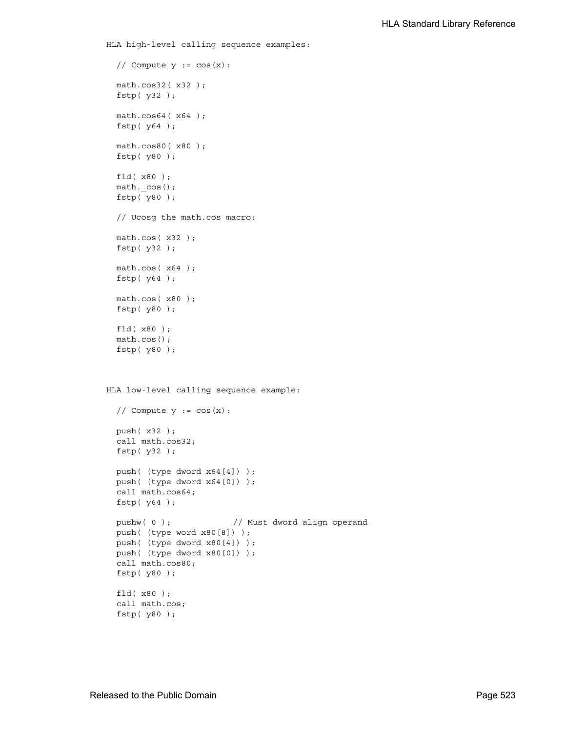```
HLA high-level calling sequence examples:
```

```
// Compute y := cos(x):
 math.cos32( x32 );
 fstp( y32 );
 math.cos64( x64 );
  fstp( y64 );
  math.cos80( x80 );
  fstp( y80 );
 fld( x80 );
 math._cos();
 fstp( y80 );
  // Ucosg the math.cos macro:
 math.cos( x32 );
 fstp( y32 );
  math.cos( x64 );
  fstp( y64 );
 math.cos( x80 );
 fstp( y80 );
  fld( x80 );
  math.cos();
  fstp( y80 );
HLA low-level calling sequence example:
  // Compute y := cos(x):
 push( x32 );
  call math.cos32;
 fstp( y32 );
 push( (type dword x64[4]) );
 push( (type dword x64[0]) );
 call math.cos64;
  fstp( y64 );
  pushw( 0 ); \frac{1}{2} // Must dword align operand
  push( (type word x80[8]) );
  push( (type dword x80[4]) );
 push( (type dword x80[0]) );
 call math.cos80;
 fstp( y80 );
 fld( x80 );
  call math.cos;
  fstp( y80 );
```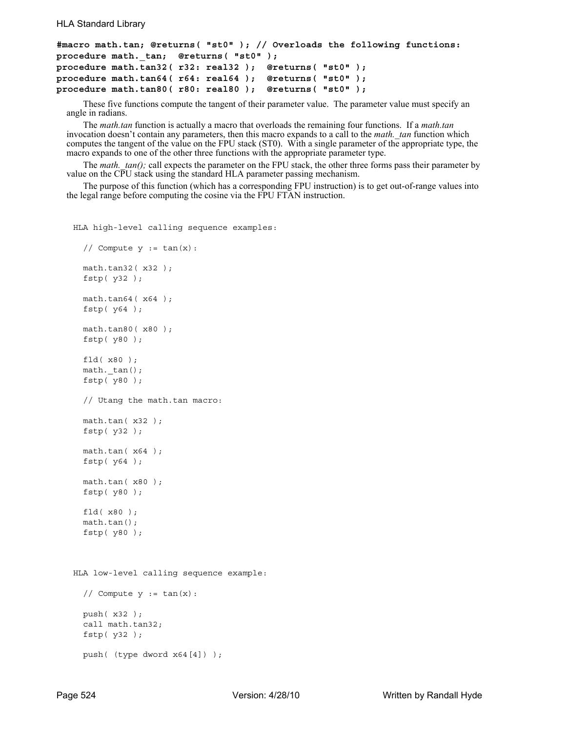```
#macro math.tan; @returns( "st0" ); // Overloads the following functions:
procedure math._tan; @returns( "st0" );
procedure math.tan32( r32: real32 ); @returns( "st0" );
procedure math.tan64( r64: real64 ); @returns( "st0" );
procedure math.tan80( r80: real80 ); @returns( "st0" );
```
These five functions compute the tangent of their parameter value. The parameter value must specify an angle in radians.

The *math.tan* function is actually a macro that overloads the remaining four functions. If a *math.tan* invocation doesn't contain any parameters, then this macro expands to a call to the *math.\_tan* function which computes the tangent of the value on the FPU stack (ST0). With a single parameter of the appropriate type, the macro expands to one of the other three functions with the appropriate parameter type.

The *math.\_tan();* call expects the parameter on the FPU stack, the other three forms pass their parameter by value on the CPU stack using the standard HLA parameter passing mechanism.

The purpose of this function (which has a corresponding FPU instruction) is to get out-of-range values into the legal range before computing the cosine via the FPU FTAN instruction.

```
// Compute y := tan(x):
  math.tan32( x32 );
  fstp( y32 );
  math.tan64( x64 );
  fstp( y64 );
 math.tan80( x80 );
  fstp( y80 );
  fld( x80 );
  math. tan();
  fstp( y80 );
  // Utang the math.tan macro:
  math.tan( x32 );
  fstp( y32 );
  math.tan( x64 );
  fstp( y64 );
  math.tan( x80 );
  fstp( y80 );
  fld( x80 );
  math.tan();
  fstp( y80 );
HLA low-level calling sequence example:
  // Compute y := tan(x):
  push( x32 );
  call math.tan32;
  fstp( y32 );
  push( (type dword x64[4]) );
```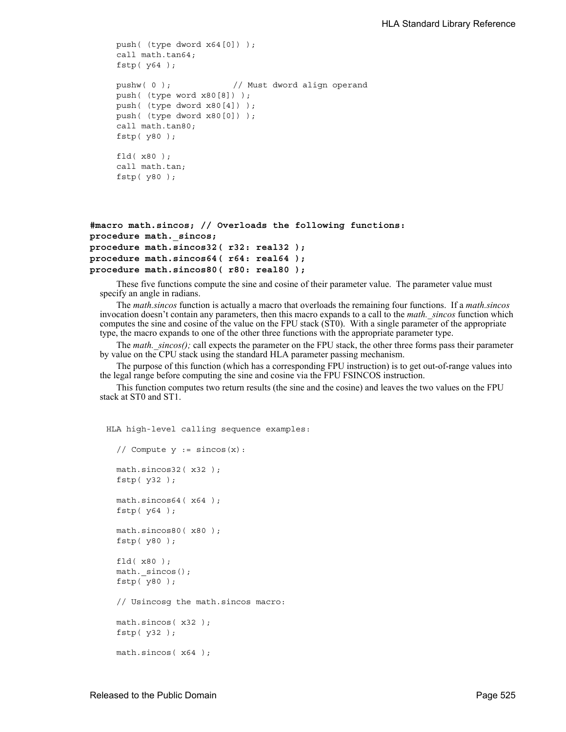```
push( (type dword x64[0]) );
call math.tan64;
fstp( y64 );
pushw( 0 ); // Must dword align operand
push( (type word x80[8]) );
push( (type dword x80[4]) );
push( (type dword x80[0]) );
call math.tan80;
fstp( y80 );
fld( x80 );
call math.tan;
fstp( y80 );
```

```
#macro math.sincos; // Overloads the following functions:
procedure math._sincos; 
procedure math.sincos32( r32: real32 ); 
procedure math.sincos64( r64: real64 ); 
procedure math.sincos80( r80: real80 );
```
These five functions compute the sine and cosine of their parameter value. The parameter value must specify an angle in radians.

The *math.sincos* function is actually a macro that overloads the remaining four functions. If a *math.sincos* invocation doesn't contain any parameters, then this macro expands to a call to the *math.\_sincos* function which computes the sine and cosine of the value on the FPU stack (ST0). With a single parameter of the appropriate type, the macro expands to one of the other three functions with the appropriate parameter type.

The *math.* sincos(); call expects the parameter on the FPU stack, the other three forms pass their parameter by value on the CPU stack using the standard HLA parameter passing mechanism.

The purpose of this function (which has a corresponding FPU instruction) is to get out-of-range values into the legal range before computing the sine and cosine via the FPU FSINCOS instruction.

This function computes two return results (the sine and the cosine) and leaves the two values on the FPU stack at ST0 and ST1.

```
// Compute y := sincos(x):
math.sincos32( x32 );
fstp( y32 );
math.sincos64(x64);
fstp( y64 );
math.sincos80( x80 );
fstp( y80 );
fld( x80 );
math. sincos();
fstp( y80 );
// Usincosg the math.sincos macro:
math.sincos( x32 );
fstp( y32 );
math.sincos( x64 );
```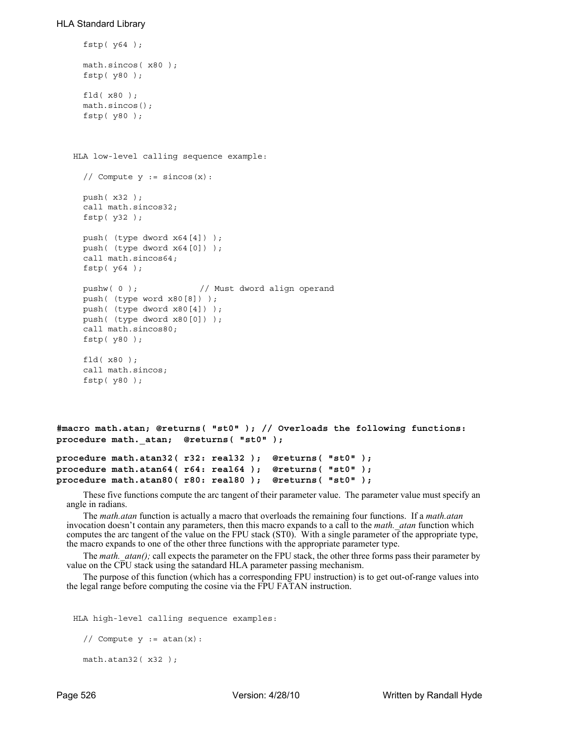```
fstp( y64 );
     math.sincos( x80 );
     fstp( y80 );
     fld( x80 );
     math.sincos();
     fstp( y80 );
   HLA low-level calling sequence example:
     // Compute y := sincos(x):
     push( x32 );
     call math.sincos32;
     fstp( y32 );
     push( (type dword x64[4]) );
     push( (type dword x64[0]) );
     call math.sincos64;
     fstp( y64 );
     pushw( 0 ); // Must dword align operand
     push( (type word x80[8]) );
     push( (type dword x80[4]) );
     push( (type dword x80[0]) );
     call math.sincos80;
     fstp( y80 );
     fld( x80 );
     call math.sincos;
     fstp( y80 );
#macro math.atan; @returns( "st0" ); // Overloads the following functions:
procedure math._atan; @returns( "st0" );
procedure math.atan32( r32: real32 ); @returns( "st0" );
procedure math.atan64( r64: real64 ); @returns( "st0" );
procedure math.atan80( r80: real80 ); @returns( "st0" );
     These five functions compute the arc tangent of their parameter value. The parameter value must specify an 
  angle in radians.
```
The *math.atan* function is actually a macro that overloads the remaining four functions. If a *math.atan* invocation doesn't contain any parameters, then this macro expands to a call to the *math.\_atan* function which computes the arc tangent of the value on the FPU stack (ST0). With a single parameter of the appropriate type, the macro expands to one of the other three functions with the appropriate parameter type.

The *math.\_atan();* call expects the parameter on the FPU stack, the other three forms pass their parameter by value on the CPU stack using the satandard HLA parameter passing mechanism.

The purpose of this function (which has a corresponding FPU instruction) is to get out-of-range values into the legal range before computing the cosine via the FPU FATAN instruction.

```
// Compute y := \text{atan}(x):
math.atan32( x32 );
```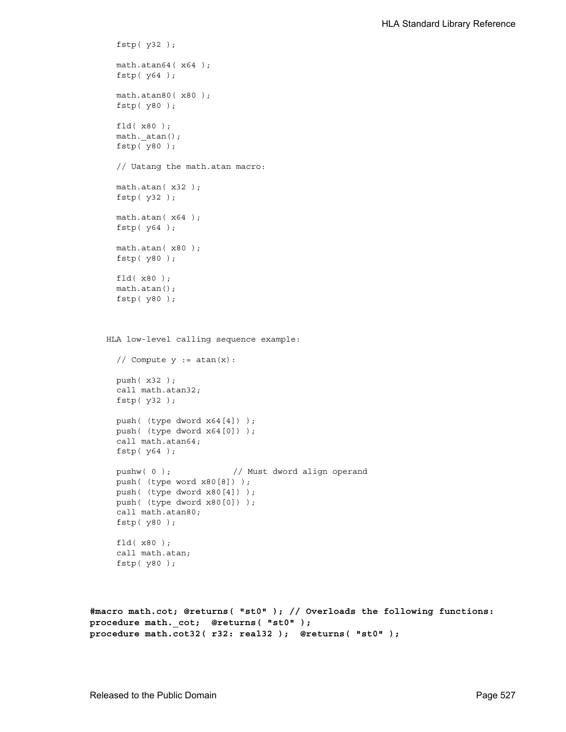```
fstp( y32 );
  math.atan64( x64 );
  fstp( y64 );
  math.atan80( x80 );
  fstp( y80 );
  fld( x80 );
  math. atan();
  fstp( y80 );
  // Uatang the math.atan macro:
  math.atan( x32 );
  fstp( y32 );
  math.atan( x64 );
  fstp( y64 );
  math.atan( x80 );
  fstp( y80 );
  fld( x80 );
  math.atan();
  fstp( y80 );
HLA low-level calling sequence example:
  // Compute y := \text{atan}(x):
  push( x32 );
  call math.atan32;
  fstp( y32 );
  push( (type dword x64[4]) );
  push( (type dword x64[0]) );
  call math.atan64;
 fstp( y64 );
  pushw( 0 ); \frac{1}{2} // Must dword align operand
  push( (type word x80[8]) );
  push( (type dword x80[4]) );
  push( (type dword x80[0]) );
  call math.atan80;
  fstp( y80 );
  fld( x80 );
  call math.atan;
  fstp( y80 );
```

```
#macro math.cot; @returns( "st0" ); // Overloads the following functions:
procedure math._cot; @returns( "st0" );
procedure math.cot32( r32: real32 ); @returns( "st0" );
```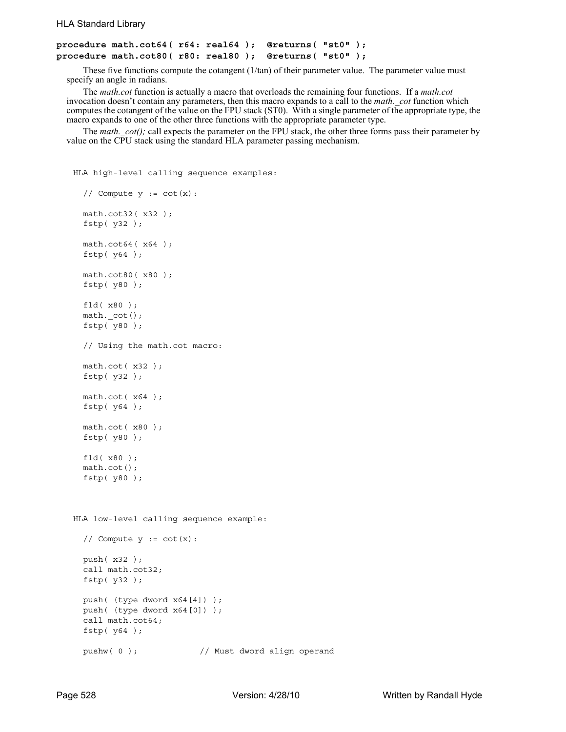```
procedure math.cot64( r64: real64 ); @returns( "st0" );
procedure math.cot80( r80: real80 ); @returns( "st0" );
```
These five functions compute the cotangent (1/tan) of their parameter value. The parameter value must specify an angle in radians.

The *math.cot* function is actually a macro that overloads the remaining four functions. If a *math.cot* invocation doesn't contain any parameters, then this macro expands to a call to the *math.\_cot* function which computes the cotangent of the value on the FPU stack (ST0). With a single parameter of the appropriate type, the macro expands to one of the other three functions with the appropriate parameter type.

The *math.* cot(); call expects the parameter on the FPU stack, the other three forms pass their parameter by value on the CPU stack using the standard HLA parameter passing mechanism.

```
HLA high-level calling sequence examples:
```

```
// Compute y := \cot(x):
  math.cot32( x32 );
  fstp( y32 );
  math.cot64( x64 );
  fstp( y64 );
 math.cot80( x80 );
  fstp( y80 );
  fld( x80 );
  math._cot();
  fstp( y80 );
  // Using the math.cot macro:
  math.cot( x32 );
  fstp( y32 );
  math.cot( x64 );
  fstp( y64 );
 math.cot( x80 );
  fstp( y80 );
  fld( x80 );
  math.cot();
  fstp( y80 );
HLA low-level calling sequence example:
  // Compute y := \cot(x):
 push( x32 );
 call math.cot32;
  fstp( y32 );
  push( (type dword x64[4]) );
  push( (type dword x64[0]) );
  call math.cot64;
  fstp( y64 );
  pushw( 0 ); // Must dword align operand
```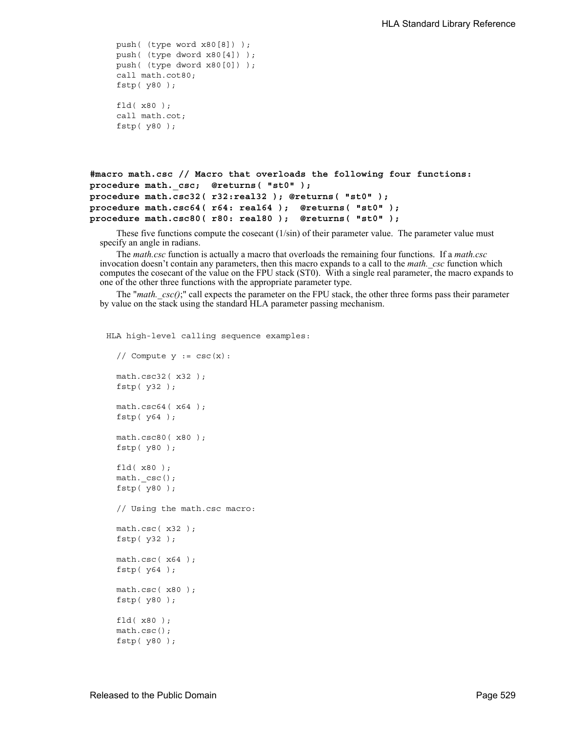```
push( (type word x80[8]) );
push( (type dword x80[4]) );
push( (type dword x80[0]) );
call math.cot80;
fstp( y80 );
fld( x80 );
call math.cot;
```
fstp( y80 );

```
#macro math.csc // Macro that overloads the following four functions:
procedure math._csc; @returns( "st0" );
procedure math.csc32( r32:real32 ); @returns( "st0" );
procedure math.csc64( r64: real64 ); @returns( "st0" );
procedure math.csc80( r80: real80 ); @returns( "st0" );
```
These five functions compute the cosecant  $(1/\sin)$  of their parameter value. The parameter value must specify an angle in radians.

The *math.csc* function is actually a macro that overloads the remaining four functions. If a *math.csc* invocation doesn't contain any parameters, then this macro expands to a call to the *math.\_csc* function which computes the cosecant of the value on the FPU stack (ST0). With a single real parameter, the macro expands to one of the other three functions with the appropriate parameter type.

The "*math.\_csc()*;" call expects the parameter on the FPU stack, the other three forms pass their parameter by value on the stack using the standard HLA parameter passing mechanism.

```
// Compute y := \csc(x):
math.csc32( x32 );
fstp( y32 );
math.csc64( x64 );
fstp( y64 );
math.csc80( x80 );
fstp( y80 );
fld( x80 );
math. csc();
fstp( y80 );
// Using the math.csc macro:
math.csc( x32 );
fstp( y32 );
math.csc( x64 );
fstp( y64 );
math.csc( x80 );
fstp( y80 );
fld( x80 );
math.csc();
fstp( y80 );
```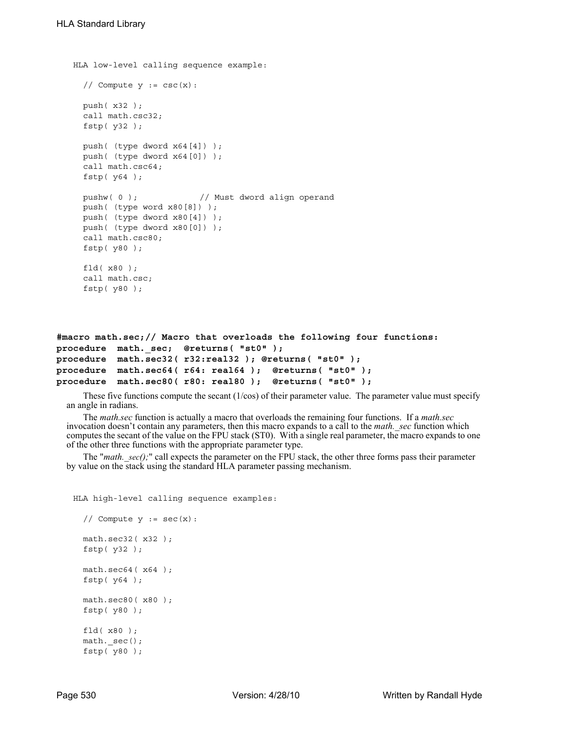```
HLA low-level calling sequence example:
  // Compute y := \csc(x):
 push( x32 );
  call math.csc32;
  fstp( y32 );
  push( (type dword x64[4]) );
  push( (type dword x64[0]) );
  call math.csc64;
 fstp( y64 );
 pushw( 0 ); // Must dword align operand
 push( (type word x80[8]) );
 push( (type dword x80[4]) );
 push( (type dword x80[0]) );
 call math.csc80;
  fstp( y80 );
  fld( x80 );
  call math.csc;
  fstp( y80 );
```

```
#macro math.sec;// Macro that overloads the following four functions:
procedure math._sec; @returns( "st0" );
procedure math.sec32( r32:real32 ); @returns( "st0" );
procedure math.sec64( r64: real64 ); @returns( "st0" );
procedure math.sec80( r80: real80 ); @returns( "st0" );
```
These five functions compute the secant (1/cos) of their parameter value. The parameter value must specify an angle in radians.

The *math.sec* function is actually a macro that overloads the remaining four functions. If a *math.sec* invocation doesn't contain any parameters, then this macro expands to a call to the *math.* sec function which computes the secant of the value on the FPU stack (ST0). With a single real parameter, the macro expands to one of the other three functions with the appropriate parameter type.

The "*math.* sec();" call expects the parameter on the FPU stack, the other three forms pass their parameter by value on the stack using the standard HLA parameter passing mechanism.

```
HLA high-level calling sequence examples:
```

```
// Compute y := \sec(x):
math.sec32( x32 );
fstp( y32 );
math.sec64( x64 );
fstp( y64 );
math.sec80( x80 );
fstp( y80 );
fld( x80 );
math. sec();
fstp( y80 );
```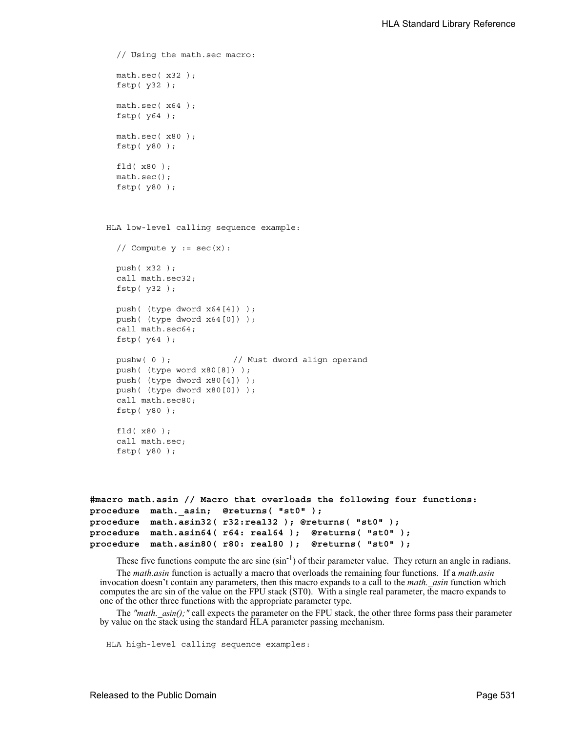```
// Using the math.sec macro:
  math.sec( x32 );
  fstp( y32 );
  math.sec( x64 );
  fstp( y64 );
  math.sec( x80 );
  fstp( y80 );
  fld( x80 );
  math.sec();
  fstp( y80 );
HLA low-level calling sequence example:
```

```
// Compute y := \sec(x):
push( x32 );
call math.sec32;
fstp( y32 );
push( (type dword x64[4]) );
push( (type dword x64[0]) );
call math.sec64;
fstp( y64 );
pushw( 0 ); // Must dword align operand
push( (type word x80[8]) );
push( (type dword x80[4]) );
push( (type dword x80[0]) );
call math.sec80;
fstp( y80 );
fld( x80 );
call math.sec;
fstp( y80 );
```

```
#macro math.asin // Macro that overloads the following four functions:
procedure math._asin; @returns( "st0" );
procedure math.asin32( r32:real32 ); @returns( "st0" );
procedure math.asin64( r64: real64 ); @returns( "st0" );
procedure math.asin80( r80: real80 ); @returns( "st0" );
```
These five functions compute the arc sine  $(\sin^{-1})$  of their parameter value. They return an angle in radians. The *math.asin* function is actually a macro that overloads the remaining four functions. If a *math.asin* invocation doesn't contain any parameters, then this macro expands to a call to the *math.\_asin* function which computes the arc sin of the value on the FPU stack (ST0). With a single real parameter, the macro expands to one of the other three functions with the appropriate parameter type.

The *"math.\_asin();"* call expects the parameter on the FPU stack, the other three forms pass their parameter by value on the stack using the standard HLA parameter passing mechanism.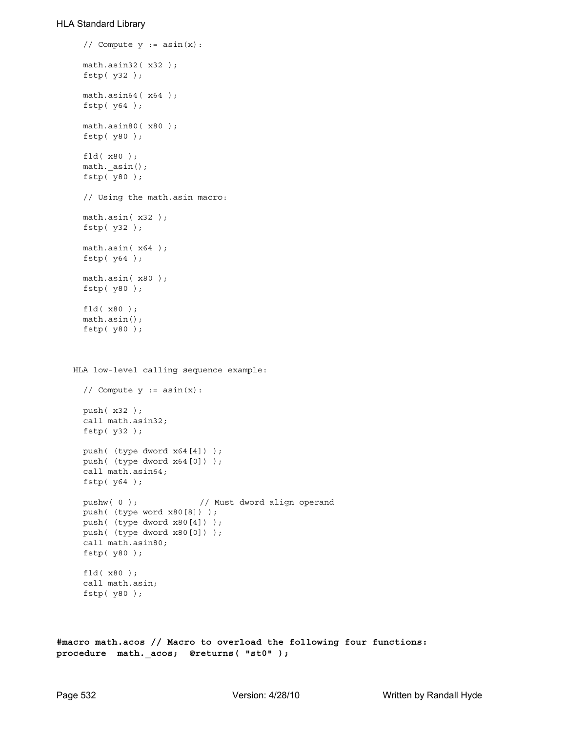```
// Compute y := a sin(x):
 math.asin32( x32 );
  fstp( y32 );
 math.asin64 (x64);
 fstp( y64 );
 math.asin80( x80 );
 fstp( y80 );
  fld( x80 );
 math._asin();
 fstp( y80 );
  // Using the math.asin macro:
 math.asin( x32 );
 fstp( y32 );
 math.asin( x64 );
  fstp( y64 );
 math.asin( x80 );
 fstp( y80 );
  fld( x80 );
 math.asin();
 fstp( y80 );
HLA low-level calling sequence example:
  // Compute y := a sin(x):
 push( x32 );
 call math.asin32;
 fstp( y32 );
 push( (type dword x64[4]) );
 push( (type dword x64[0]) );
 call math.asin64;
 fstp( y64 );
 pushw( 0 ); // Must dword align operand
  push( (type word x80[8]) );
 push( (type dword x80[4]) );
 push( (type dword x80[0]) );
 call math.asin80;
 fstp( y80 );
 fld( x80 );
 call math.asin;
 fstp( y80 );
```
**#macro math.acos // Macro to overload the following four functions: procedure math.\_acos; @returns( "st0" );**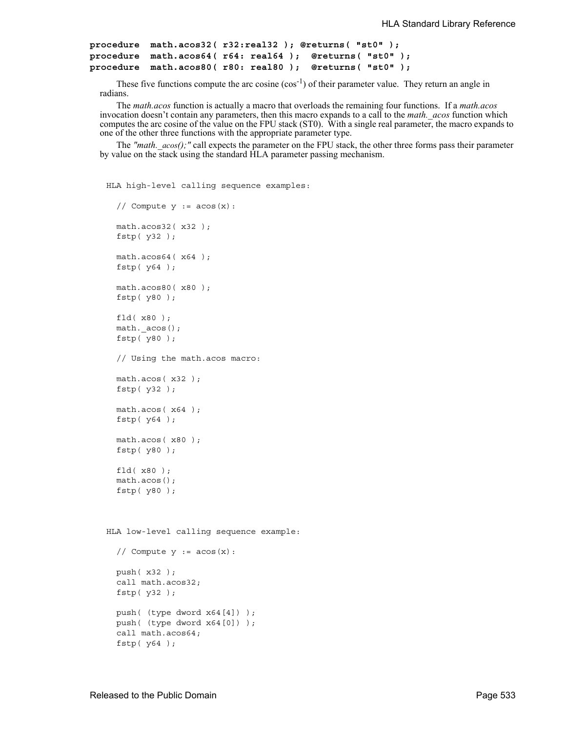**procedure math.acos32( r32:real32 ); @returns( "st0" ); procedure math.acos64( r64: real64 ); @returns( "st0" ); procedure math.acos80( r80: real80 ); @returns( "st0" );**

These five functions compute the arc cosine  $(cos<sup>-1</sup>)$  of their parameter value. They return an angle in radians.

The *math.acos* function is actually a macro that overloads the remaining four functions. If a *math.acos* invocation doesn't contain any parameters, then this macro expands to a call to the *math.\_acos* function which computes the arc cosine of the value on the FPU stack (ST0). With a single real parameter, the macro expands to one of the other three functions with the appropriate parameter type.

The *"math.\_acos();"* call expects the parameter on the FPU stack, the other three forms pass their parameter by value on the stack using the standard HLA parameter passing mechanism.

HLA high-level calling sequence examples:

```
// Compute y := a \cos(x):
  math.acos32( x32 );
  fstp( y32 );
  math.acos64( x64 );
  fstp( y64 );
  math.acos80( x80 );
  fstp( y80 );
  fld( x80 );
  math. acos();
  fstp( y80 );
  // Using the math.acos macro:
  math.acos( x32 );
  fstp( y32 );
  math.acos( x64 );
  fstp( y64 );
  math.acos( x80 );
  fstp( y80 );
  fld( x80 );
  math.acos();
  fstp( y80 );
HLA low-level calling sequence example:
  // Compute y := a \cos(x):
  push( x32 );
  call math.acos32;
```

```
push( (type dword x64[4]) );
push( (type dword x64[0]) );
call math.acos64;
```
fstp( y32 );

fstp( y64 );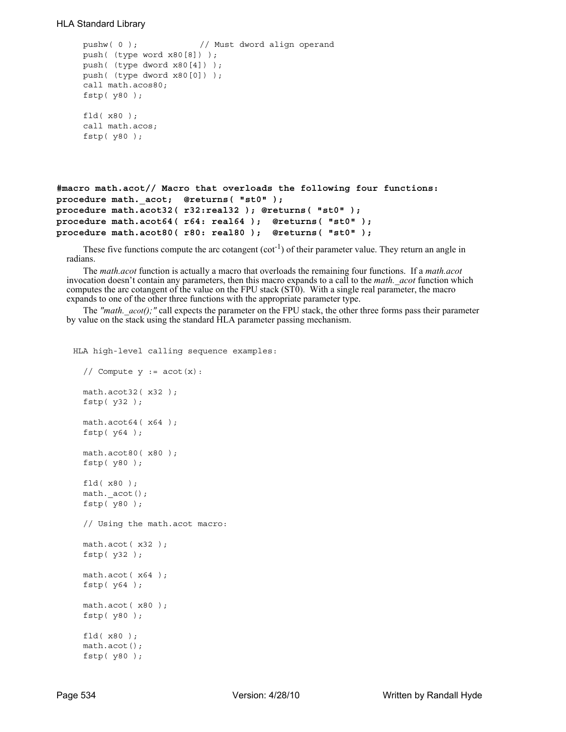```
pushw( 0 ); // Must dword align operand
     push( (type word x80[8]) );
    push( (type dword x80[4]) );
    push( (type dword x80[0]) );
    call math.acos80;
     fstp( y80 );
     fld( x80 );
     call math.acos;
     fstp( y80 );
#macro math.acot// Macro that overloads the following four functions:
procedure math._acot; @returns( "st0" );
procedure math.acot32( r32:real32 ); @returns( "st0" );
procedure math.acot64( r64: real64 ); @returns( "st0" );
procedure math.acot80( r80: real80 ); @returns( "st0" );
```
These five functions compute the arc cotangent  $(cot<sup>-1</sup>)$  of their parameter value. They return an angle in radians.

The *math.acot* function is actually a macro that overloads the remaining four functions. If a *math.acot* invocation doesn't contain any parameters, then this macro expands to a call to the *math.\_acot* function which computes the arc cotangent of the value on the FPU stack (ST0). With a single real parameter, the macro expands to one of the other three functions with the appropriate parameter type.

The *"math.\_acot();"* call expects the parameter on the FPU stack, the other three forms pass their parameter by value on the stack using the standard HLA parameter passing mechanism.

```
// Compute y := \text{acot}(x):
math.acot32( x32 );
fstp( y32 );
math.acot64( x64 );
fstp( y64 );
math.acot80( x80 );
fstp( y80 );
fld( x80 );
math._acot();
fstp( y80 );
// Using the math.acot macro:
math.acot( x32 );
fstp( y32 );
math.acot( x64 );
fstp( y64 );
math.acot( x80 );
fstp( y80 );
fld( x80 );
math.acot();
fstp( y80 );
```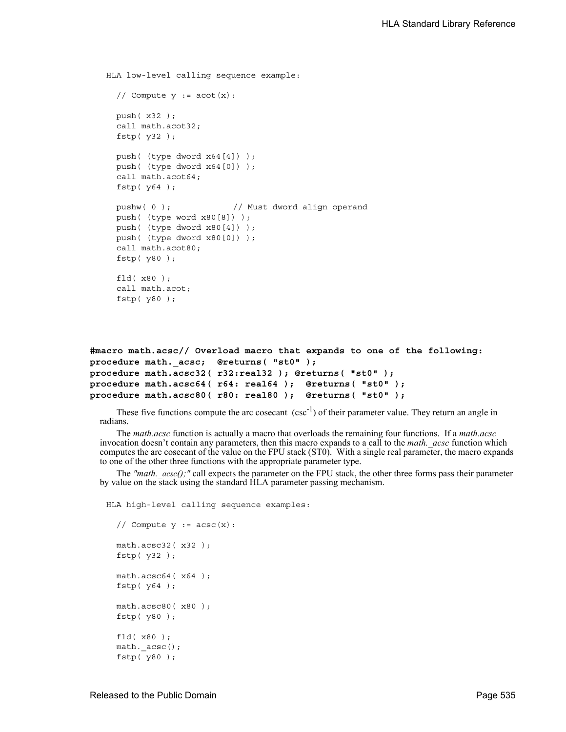HLA low-level calling sequence example: // Compute  $y := acot(x)$ : push( x32 ); call math.acot32; fstp( y32 ); push( (type dword x64[4]) ); push( (type dword x64[0]) ); call math.acot64; fstp( y64 ); pushw( 0 ); // Must dword align operand push( (type word x80[8]) ); push( (type dword x80[4]) ); push( (type dword x80[0]) ); call math.acot80; fstp( y80 ); fld( x80 ); call math.acot; fstp( y80 );

```
#macro math.acsc// Overload macro that expands to one of the following:
procedure math._acsc; @returns( "st0" );
procedure math.acsc32( r32:real32 ); @returns( "st0" );
procedure math.acsc64( r64: real64 ); @returns( "st0" );
procedure math.acsc80( r80: real80 ); @returns( "st0" );
```
These five functions compute the arc cosecant  $(\csc^{-1})$  of their parameter value. They return an angle in radians.

The *math.acsc* function is actually a macro that overloads the remaining four functions. If a *math.acsc* invocation doesn't contain any parameters, then this macro expands to a call to the *math.\_acsc* function which computes the arc cosecant of the value on the FPU stack (ST0). With a single real parameter, the macro expands to one of the other three functions with the appropriate parameter type.

The *"math.\_acsc();"* call expects the parameter on the FPU stack, the other three forms pass their parameter by value on the stack using the standard HLA parameter passing mechanism.

HLA high-level calling sequence examples: // Compute  $y := \text{acsc}(x)$ : math.acsc32( x32 ); fstp( y32 ); math.acsc64( x64 ); fstp( y64 ); math.acsc80( x80 ); fstp( y80 ); fld( x80 ); math. acsc(); fstp( y80 );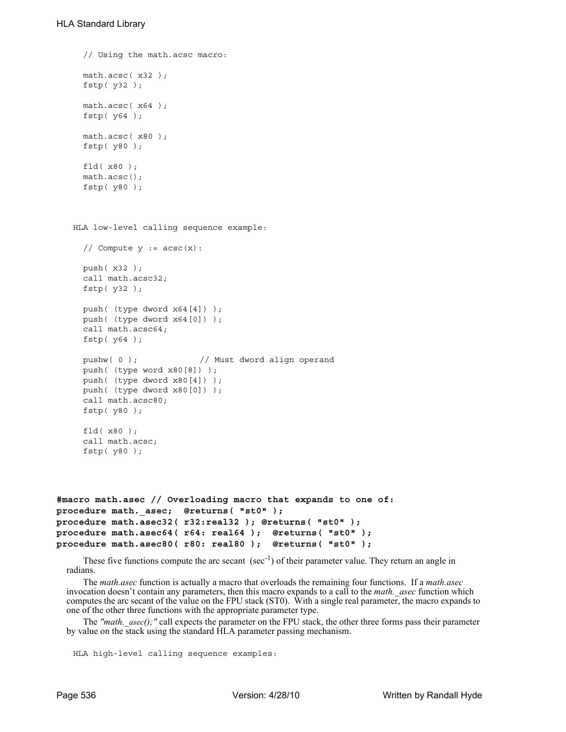```
// Using the math.acsc macro:
     math.acsc( x32 );
     fstp( y32 );
     math.acsc( x64 );
     fstp( y64 );
     math.acsc( x80 );
     fstp( y80 );
     fld( x80 );
     math.acsc();
     fstp( y80 );
   HLA low-level calling sequence example:
     // Compute y := \text{acsc}(x):
     push( x32 );
     call math.acsc32;
     fstp( y32 );
     push( (type dword x64[4]) );
     push( (type dword x64[0]) );
     call math.acsc64;
     fstp( y64 );
     pushw( 0 ); \frac{1}{2} // Must dword align operand
     push( (type word x80[8]) );
     push( (type dword x80[4]) );
     push( (type dword x80[0]) );
     call math.acsc80;
     fstp( y80 );
     fld( x80 );
     call math.acsc;
     fstp( y80 );
#macro math.asec // Overloading macro that expands to one of:
procedure math._asec; @returns( "st0" );
```

```
procedure math.asec32( r32:real32 ); @returns( "st0" );
procedure math.asec64( r64: real64 ); @returns( "st0" );
procedure math.asec80( r80: real80 ); @returns( "st0" );
```
These five functions compute the arc secant  $(\sec^{-1})$  of their parameter value. They return an angle in radians.

The *math.asec* function is actually a macro that overloads the remaining four functions. If a *math.asec* invocation doesn't contain any parameters, then this macro expands to a call to the *math.\_asec* function which computes the arc secant of the value on the FPU stack (ST0). With a single real parameter, the macro expands to one of the other three functions with the appropriate parameter type.

The *"math.\_asec();"* call expects the parameter on the FPU stack, the other three forms pass their parameter by value on the stack using the standard HLA parameter passing mechanism.

```
HLA high-level calling sequence examples:
```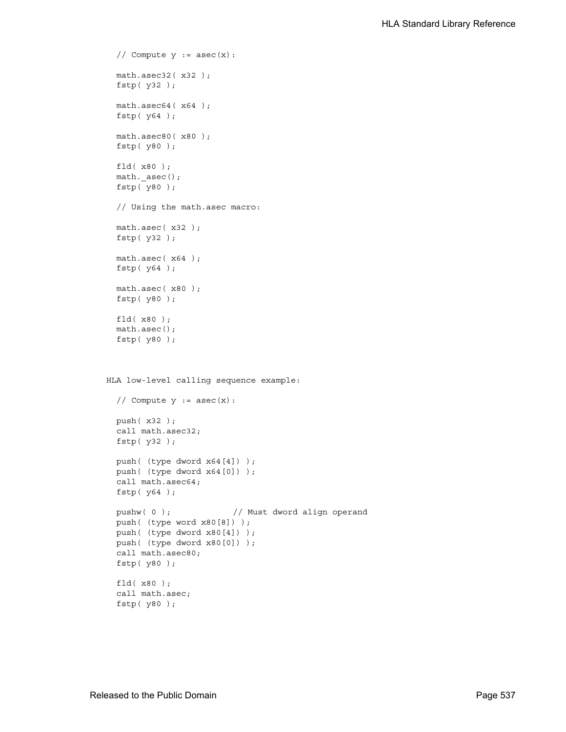```
// Compute y := asec(x):
  math.asec32( x32 );
  fstp( y32 );
  math.asec64(x64);
  fstp( y64 );
  math.asec80( x80 );
  fstp( y80 );
 fld( x80 );
 math._asec();
  fstp( y80 );
  // Using the math.asec macro:
 math.asec( x32 );
 fstp( y32 );
  math.asec( x64 );
  fstp( y64 );
 math.asec( x80 );
  fstp( y80 );
 fld( x80 );
  math.asec();
  fstp( y80 );
HLA low-level calling sequence example:
  // Compute y := asec(x):
 push( x32 );
  call math.asec32;
 fstp( y32 );
 push( (type dword x64[4]) );
 push( (type dword x64[0]) );
 call math.asec64;
 fstp( y64 );
  pushw( 0 ); \frac{1}{2} // Must dword align operand
  push( (type word x80[8]) );
 push( (type dword x80[4]) );
 push( (type dword x80[0]) );
 call math.asec80;
 fstp( y80 );
  fld( x80 );
  call math.asec;
  fstp( y80 );
```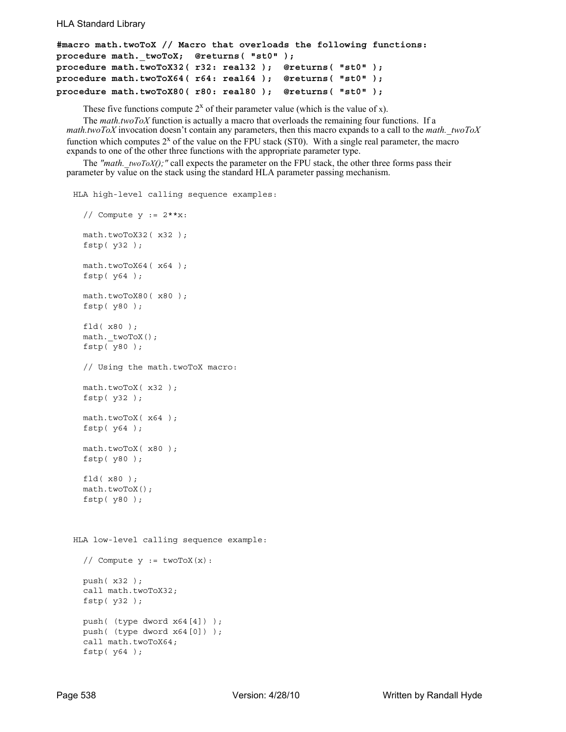```
#macro math.twoToX // Macro that overloads the following functions:
procedure math._twoToX; @returns( "st0" );
procedure math.twoToX32( r32: real32 ); @returns( "st0" );
procedure math.twoToX64( r64: real64 ); @returns( "st0" );
procedure math.twoToX80( r80: real80 ); @returns( "st0" );
```
These five functions compute  $2^x$  of their parameter value (which is the value of x).

The *math.twoToX* function is actually a macro that overloads the remaining four functions. If a *math.twoToX* invocation doesn't contain any parameters, then this macro expands to a call to the *math.\_twoToX* function which computes  $2^x$  of the value on the FPU stack (ST0). With a single real parameter, the macro expands to one of the other three functions with the appropriate parameter type.

The "math. twoToX();" call expects the parameter on the FPU stack, the other three forms pass their parameter by value on the stack using the standard HLA parameter passing mechanism.

```
// Compute y := 2***:
  math.twoToX32( x32 );
  fstp( y32 );
  math.twoToX64( x64 );
  fstp( y64 );
  math.twoToX80( x80 );
  fstp( y80 );
  fld( x80 );
  math. twoToX();
  fstp( y80 );
  // Using the math.twoToX macro:
  math.twoToX( x32 );
  fstp( y32 );
  math.twoToX( x64 );
  fstp( y64 );
  math.twoToX( x80 );
  fstp( y80 );
  fld( x80 );
  math.twoToX();
  fstp( y80 );
HLA low-level calling sequence example:
  // Compute y := twor(x):
  push( x32 );
  call math.twoToX32;
  fstp( y32 );
  push( (type dword x64[4]) );
  push( (type dword x64[0]) );
  call math.twoToX64;
  fstp( y64 );
```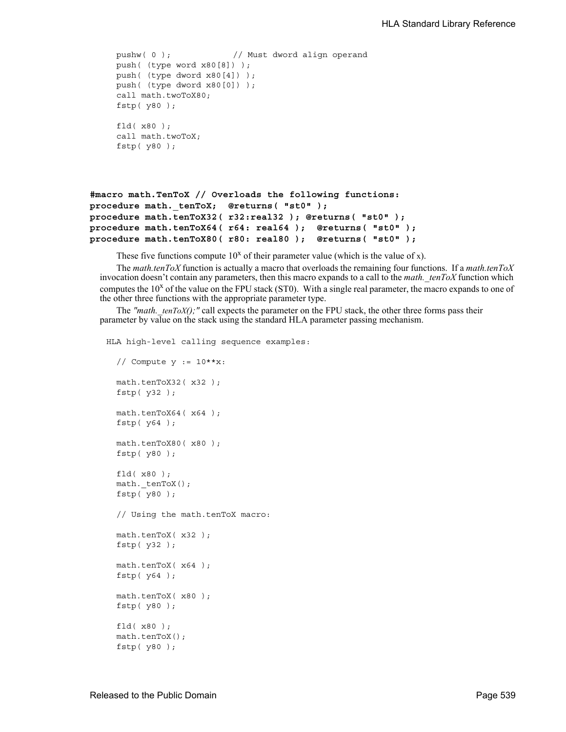```
pushw( 0 ); // Must dword align operand
push( (type word x80[8]) );
push( (type dword x80[4]) );
push( (type dword x80[0]) );
call math.twoToX80;
fstp( y80 );
fld( x80 );
call math.twoToX;
fstp( y80 );
```

```
#macro math.TenToX // Overloads the following functions:
procedure math._tenToX; @returns( "st0" );
procedure math.tenToX32( r32:real32 ); @returns( "st0" );
procedure math.tenToX64( r64: real64 ); @returns( "st0" );
procedure math.tenToX80( r80: real80 ); @returns( "st0" );
```
These five functions compute  $10<sup>x</sup>$  of their parameter value (which is the value of x).

The *math.tenToX* function is actually a macro that overloads the remaining four functions. If a *math.tenToX* invocation doesn't contain any parameters, then this macro expands to a call to the *math.\_tenToX* function which computes the  $10<sup>x</sup>$  of the value on the FPU stack (ST0). With a single real parameter, the macro expands to one of the other three functions with the appropriate parameter type.

The "math. tenToX();" call expects the parameter on the FPU stack, the other three forms pass their parameter by value on the stack using the standard HLA parameter passing mechanism.

```
// Compute y := 10***:
math.tenToX32( x32 );
fstp( y32 );
math.tenToX64( x64 );
fstp( y64 );
math.tenToX80( x80 );
fstp( y80 );
fld( x80 );
math. tenToX();
fstp( y80 );
// Using the math.tenToX macro:
math.tenToX( x32 );
fstp( y32 );
math.tenToX( x64 );
fstp( y64 );
math.tenToX( x80 );
fstp( y80 );
fld( x80 );
math.tenToX();
fstp( y80 );
```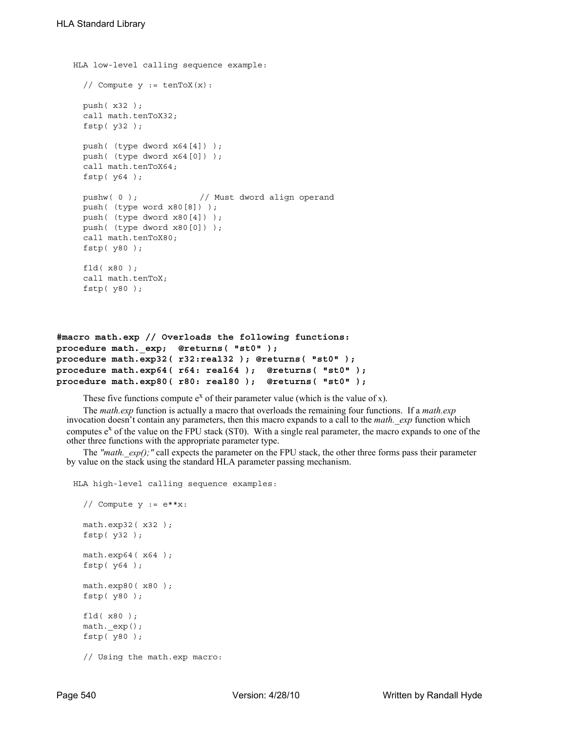```
HLA low-level calling sequence example:
  // Compute y := \text{tenToX}(x):
 push( x32 );
  call math.tenToX32;
  fstp( y32 );
 push( (type dword x64[4]) );
 push( (type dword x64[0]) );
 call math.tenToX64;
 fstp( y64 );
 pushw( 0 ); // Must dword align operand
 push( (type word x80[8]) );
 push( (type dword x80[4]) );
 push( (type dword x80[0]) );
 call math.tenToX80;
  fstp( y80 );
  fld( x80 );
  call math.tenToX;
  fstp( y80 );
```

```
#macro math.exp // Overloads the following functions:
procedure math._exp; @returns( "st0" );
procedure math.exp32( r32:real32 ); @returns( "st0" );
procedure math.exp64( r64: real64 ); @returns( "st0" );
procedure math.exp80( r80: real80 ); @returns( "st0" );
```
These five functions compute  $e^x$  of their parameter value (which is the value of x).

The *math.exp* function is actually a macro that overloads the remaining four functions. If a *math.exp* invocation doesn't contain any parameters, then this macro expands to a call to the *math.* exp function which computes  $e<sup>x</sup>$  of the value on the FPU stack (ST0). With a single real parameter, the macro expands to one of the other three functions with the appropriate parameter type.

The *"math.*  $exp()$ ;" call expects the parameter on the FPU stack, the other three forms pass their parameter by value on the stack using the standard HLA parameter passing mechanism.

```
HLA high-level calling sequence examples:
  // Compute y := e**x:
  math.exp32( x32 );
  fstp( y32 );
  math.exp64( x64 );
  fstp( y64 );
  math.exp80( x80 );
  fstp( y80 );
  fld( x80 );
  math. exp();
  fstp( y80 );
  // Using the math.exp macro:
```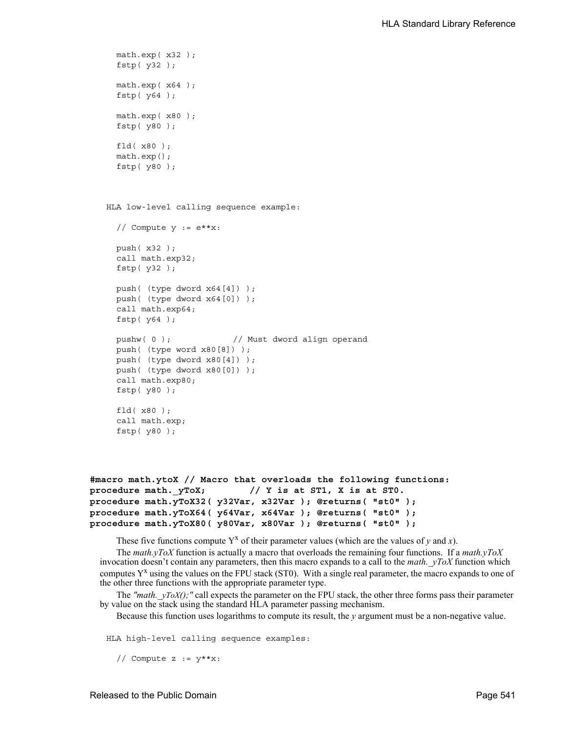```
math.exp( x32 );
 fstp( y32 );
 math.exp( x64 );
 fstp( y64 );
 math.exp( x80 );
  fstp( y80 );
  fld( x80 );
 math.exp();
  fstp( y80 );
HLA low-level calling sequence example:
 // Compute y := e^{**}x:
 push( x32 );
 call math.exp32;
 fstp( y32 );
 push( (type dword x64[4]) );
 push( (type dword x64[0]) );
 call math.exp64;
 fstp( y64 );
 pushw( 0 ); // Must dword align operand
 push( (type word x80[8]) );
 push( (type dword x80[4]) );
 push( (type dword x80[0]) );
 call math.exp80;
 fstp( y80 );
 fld( x80 );
 call math.exp;
 fstp( y80 );
```

```
#macro math.ytoX // Macro that overloads the following functions:
procedure math._yToX; // Y is at ST1, X is at ST0.
procedure math.yToX32( y32Var, x32Var ); @returns( "st0" );
procedure math.yToX64( y64Var, x64Var ); @returns( "st0" );
procedure math.yToX80( y80Var, x80Var ); @returns( "st0" );
```
These five functions compute  $Y^x$  of their parameter values (which are the values of *y* and *x*).

The *math.yToX* function is actually a macro that overloads the remaining four functions. If a *math.yToX* invocation doesn't contain any parameters, then this macro expands to a call to the *math.\_yToX* function which computes  $Y^x$  using the values on the FPU stack (ST0). With a single real parameter, the macro expands to one of the other three functions with the appropriate parameter type.

The *"math.* yToX();" call expects the parameter on the FPU stack, the other three forms pass their parameter by value on the stack using the standard HLA parameter passing mechanism.

Because this function uses logarithms to compute its result, the *y* argument must be a non-negative value.

HLA high-level calling sequence examples:

// Compute  $z := y**x$ :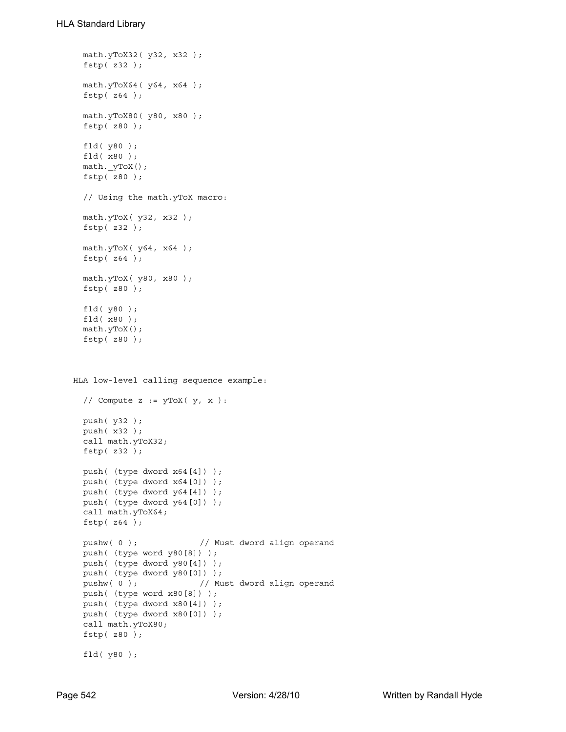```
math.yToX32( y32, x32 );
  fstp( z32 );
 math.yToX64( y64, x64 );
  fstp( z64 );
 math.yToX80( y80, x80 );
  fstp( z80 );
  fld( y80 );
  fld( x80 );
 math._yToX();
 fstp( z80 );
  // Using the math.yToX macro:
 math.yToX( y32, x32 );
 fstp( z32 );
 math.yToX( y64, x64 );
  fstp( z64 );
 math.yToX( y80, x80 );
 fstp( z80 );
  fld( y80 );
  fld( x80 );
 math.yToX();
  fstp( z80 );
HLA low-level calling sequence example:
  // Compute z := yToX(y, x):
 push( y32 );
 push( x32 );
 call math.yToX32;
 fstp( z32 );
 push( (type dword x64[4]) );
 push( (type dword x64[0]) );
 push( (type dword y64[4]) );
 push( (type dword y64[0]) );
 call math.yToX64;
 fstp( z64 );
 pushw( 0 ); \frac{1}{2} // Must dword align operand
 push( (type word y80[8]) );
 push( (type dword y80[4]) );
 push( (type dword y80[0]) );
 pushw( 0 ); // Must dword align operand
 push( (type word x80[8]) );
 push( (type dword x80[4]) );
 push( (type dword x80[0]) );
 call math.yToX80;
 fstp( z80 );
  fld( y80 );
```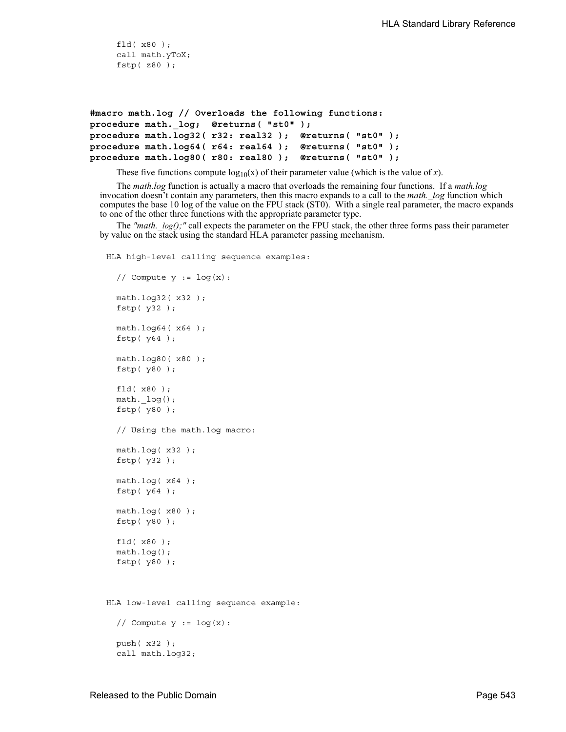```
fld( x80 );
call math.yToX;
fstp( z80 );
```

```
#macro math.log // Overloads the following functions:
procedure math._log; @returns( "st0" );
procedure math.log32( r32: real32 ); @returns( "st0" );
procedure math.log64( r64: real64 ); @returns( "st0" );
procedure math.log80( r80: real80 ); @returns( "st0" );
```
These five functions compute  $log_{10}(x)$  of their parameter value (which is the value of *x*).

The *math.log* function is actually a macro that overloads the remaining four functions. If a *math.log* invocation doesn't contain any parameters, then this macro expands to a call to the *math.\_log* function which computes the base 10 log of the value on the FPU stack (ST0). With a single real parameter, the macro expands to one of the other three functions with the appropriate parameter type.

The *"math.*  $log()$ ;" call expects the parameter on the FPU stack, the other three forms pass their parameter by value on the stack using the standard HLA parameter passing mechanism.

```
// Compute y := \log(x):
  math.log32( x32 );
  fstp( y32 );
  math.log64( x64 );
  fstp( y64 );
  math.log80( x80 );
  fstp( y80 );
  fld( x80 );
  math. log();
  fstp( y80 );
  // Using the math.log macro:
  math.log( x32 );
  fstp( y32 );
  math.loq(x64);
  fstp( y64 );
  math.log( x80 );
  fstp( y80 );
  fld( x80 );
  math.log();
  fstp( y80 );
HLA low-level calling sequence example:
```

```
// Compute y := \log(x):
push( x32 );
```

```
call math.log32;
```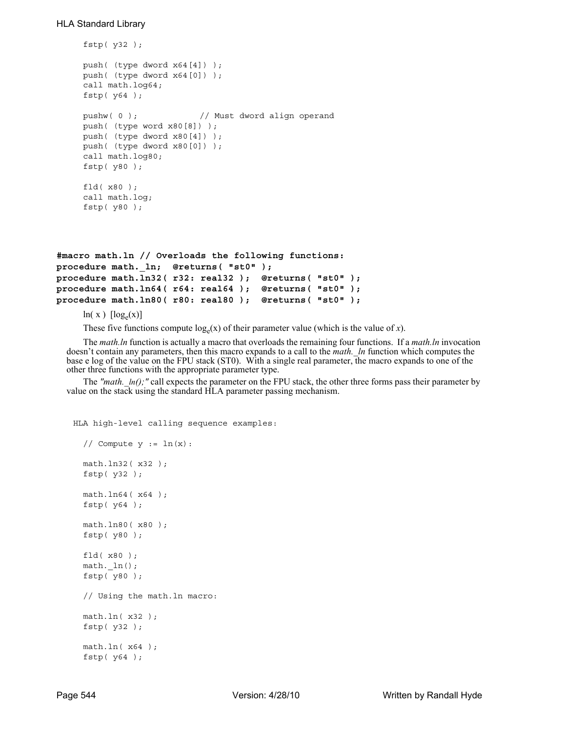```
fstp( y32 );
push( (type dword x64[4]) );
push( (type dword x64[0]) );
call math.log64;
fstp( y64 );
pushw( 0 ); // Must dword align operand
push( (type word x80[8]) );
push( (type dword x80[4]) );
push( (type dword x80[0]) );
call math.log80;
fstp( y80 );
fld( x80 );
call math.log;
fstp( y80 );
```

```
#macro math.ln // Overloads the following functions:
procedure math._ln; @returns( "st0" );
procedure math.ln32( r32: real32 ); @returns( "st0" );
procedure math.ln64( r64: real64 ); @returns( "st0" );
procedure math.ln80( r80: real80 ); @returns( "st0" );
```

```
ln(x) [log_e(x)]
```
These five functions compute  $log_e(x)$  of their parameter value (which is the value of *x*).

The *math.ln* function is actually a macro that overloads the remaining four functions. If a *math.ln* invocation doesn't contain any parameters, then this macro expands to a call to the *math. In* function which computes the base e log of the value on the FPU stack (ST0). With a single real parameter, the macro expands to one of the other three functions with the appropriate parameter type.

The "math.  $ln(j)$ ;" call expects the parameter on the FPU stack, the other three forms pass their parameter by value on the stack using the standard HLA parameter passing mechanism.

```
HLA high-level calling sequence examples:
  // Compute y := \ln(x):
  math.ln32( x32 );
  fstp( y32 );
  math.ln64( x64 );
  fstp( y64 );
  math.ln80( x80 );
  fstp( y80 );
  fld( x80 );
  math. ln();
  fstp( y80 );
  // Using the math.ln macro:
  math.ln( x32 );
  fstp( y32 );
  math.ln( x64 );
  fstp( y64 );
```